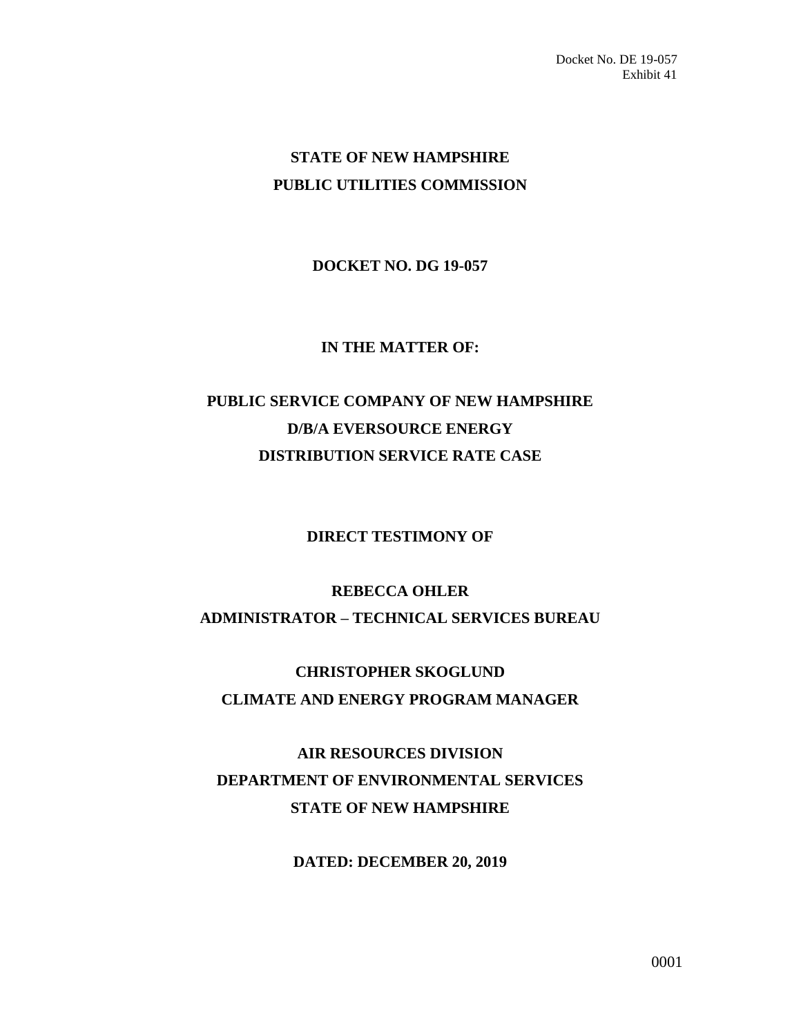# **STATE OF NEW HAMPSHIRE PUBLIC UTILITIES COMMISSION**

### **DOCKET NO. DG 19-057**

#### **IN THE MATTER OF:**

# **PUBLIC SERVICE COMPANY OF NEW HAMPSHIRE D/B/A EVERSOURCE ENERGY DISTRIBUTION SERVICE RATE CASE**

#### **DIRECT TESTIMONY OF**

## **REBECCA OHLER ADMINISTRATOR – TECHNICAL SERVICES BUREAU**

# **CHRISTOPHER SKOGLUND CLIMATE AND ENERGY PROGRAM MANAGER**

# **AIR RESOURCES DIVISION DEPARTMENT OF ENVIRONMENTAL SERVICES STATE OF NEW HAMPSHIRE**

#### **DATED: DECEMBER 20, 2019**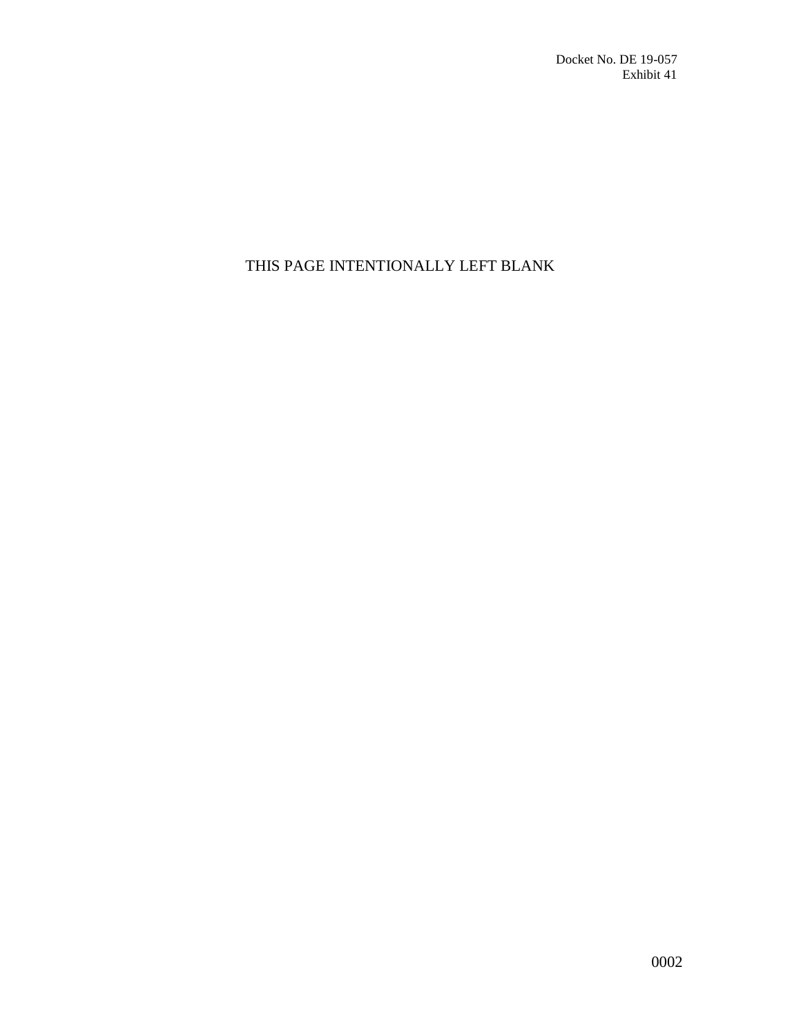## THIS PAGE INTENTIONALLY LEFT BLANK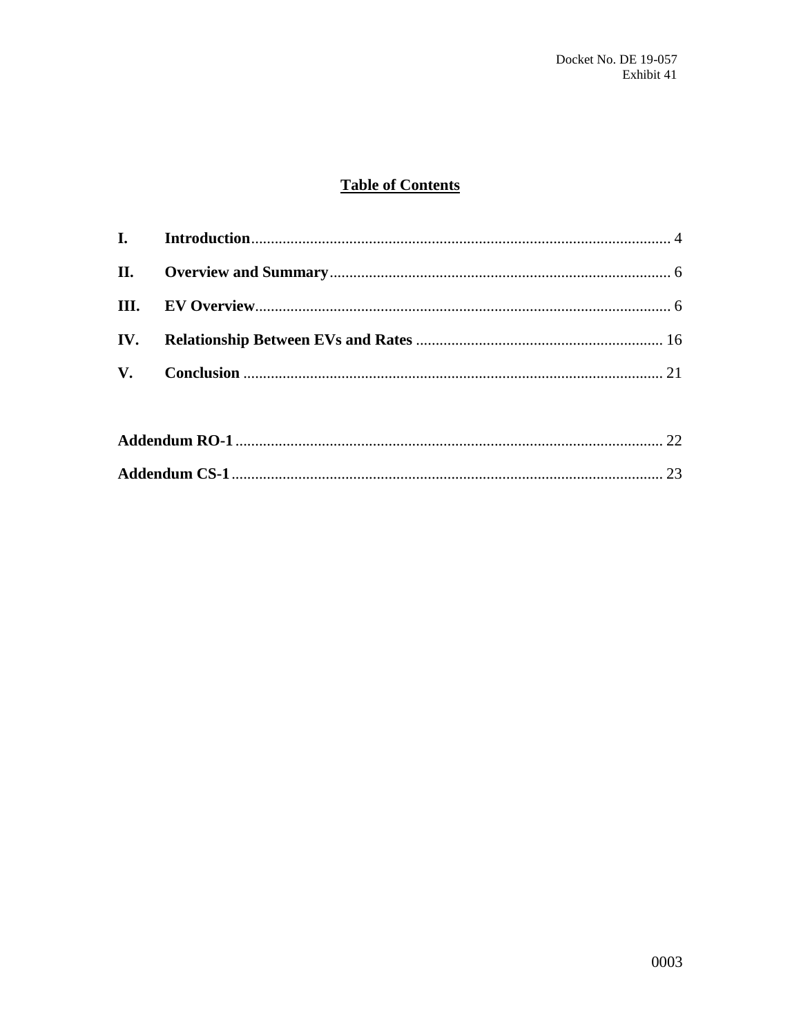## **Table of Contents**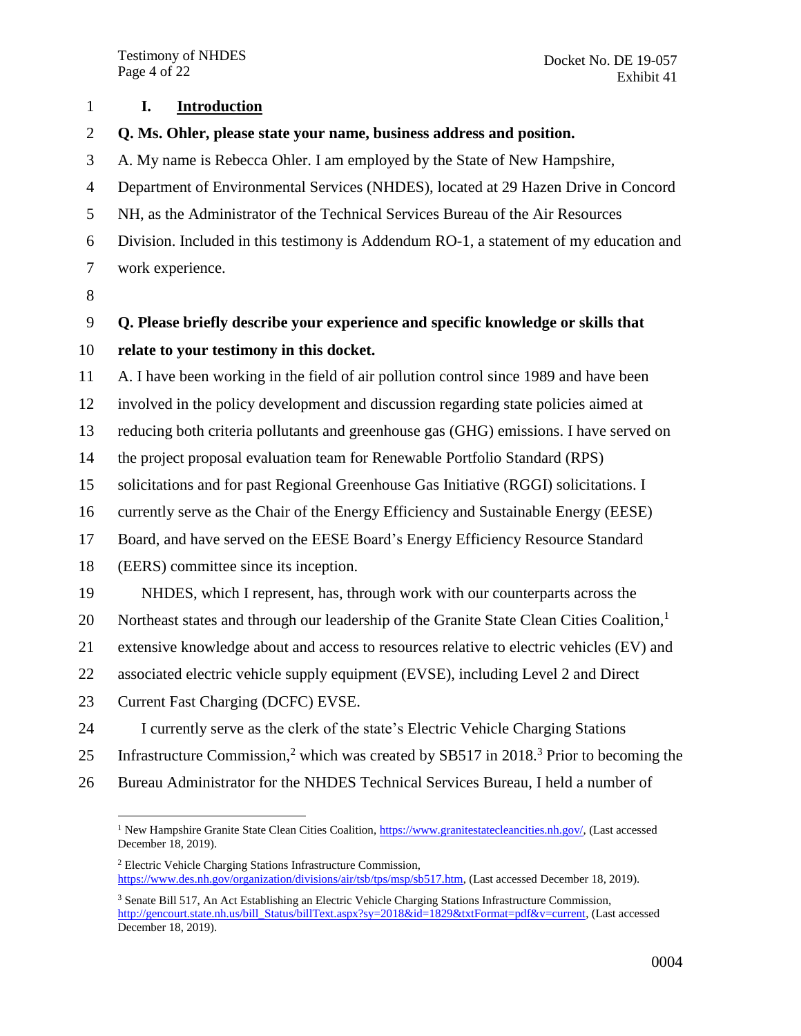<span id="page-3-0"></span>**I. Introduction**

- **Q. Ms. Ohler, please state your name, business address and position.**
- A. My name is Rebecca Ohler. I am employed by the State of New Hampshire,
- Department of Environmental Services (NHDES), located at 29 Hazen Drive in Concord
- NH, as the Administrator of the Technical Services Bureau of the Air Resources
- Division. Included in this testimony is Addendum RO-1, a statement of my education and work experience.
- 

## **Q. Please briefly describe your experience and specific knowledge or skills that**

#### **relate to your testimony in this docket.**

A. I have been working in the field of air pollution control since 1989 and have been

involved in the policy development and discussion regarding state policies aimed at

reducing both criteria pollutants and greenhouse gas (GHG) emissions. I have served on

the project proposal evaluation team for Renewable Portfolio Standard (RPS)

solicitations and for past Regional Greenhouse Gas Initiative (RGGI) solicitations. I

currently serve as the Chair of the Energy Efficiency and Sustainable Energy (EESE)

Board, and have served on the EESE Board's Energy Efficiency Resource Standard

(EERS) committee since its inception.

NHDES, which I represent, has, through work with our counterparts across the

Northeast states and through our leadership of the Granite State Clean Cities Coalition,<sup>1</sup> 

extensive knowledge about and access to resources relative to electric vehicles (EV) and

associated electric vehicle supply equipment (EVSE), including Level 2 and Direct

23 Current Fast Charging (DCFC) EVSE.

I currently serve as the clerk of the state's Electric Vehicle Charging Stations

- 25 Infrastructure Commission,<sup>2</sup> which was created by SB517 in 2018.<sup>3</sup> Prior to becoming the
- Bureau Administrator for the NHDES Technical Services Bureau, I held a number of

 $\overline{a}$ <sup>1</sup> New Hampshire Granite State Clean Cities Coalition, [https://www.granitestatecleancities.nh.gov/,](https://www.granitestatecleancities.nh.gov/) (Last accessed December 18, 2019).

 Electric Vehicle Charging Stations Infrastructure Commission, [https://www.des.nh.gov/organization/divisions/air/tsb/tps/msp/sb517.htm,](https://www.des.nh.gov/organization/divisions/air/tsb/tps/msp/sb517.htm) (Last accessed December 18, 2019).

 Senate Bill 517, An Act Establishing an Electric Vehicle Charging Stations Infrastructure Commission, [http://gencourt.state.nh.us/bill\\_Status/billText.aspx?sy=2018&id=1829&txtFormat=pdf&v=current,](http://gencourt.state.nh.us/bill_Status/billText.aspx?sy=2018&id=1829&txtFormat=pdf&v=current) (Last accessed December 18, 2019).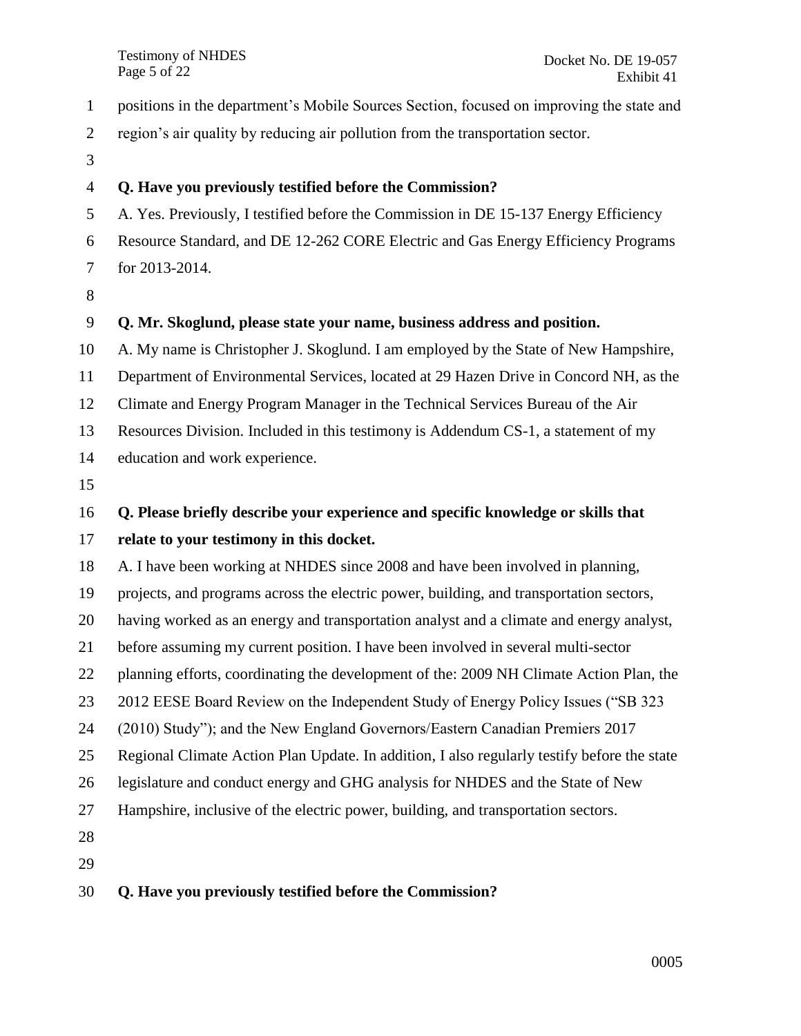positions in the department's Mobile Sources Section, focused on improving the state and

region's air quality by reducing air pollution from the transportation sector.

### **Q. Have you previously testified before the Commission?**

A. Yes. Previously, I testified before the Commission in DE 15-137 Energy Efficiency

 Resource Standard, and DE 12-262 CORE Electric and Gas Energy Efficiency Programs for 2013-2014.

### **Q. Mr. Skoglund, please state your name, business address and position.**

A. My name is Christopher J. Skoglund. I am employed by the State of New Hampshire,

Department of Environmental Services, located at 29 Hazen Drive in Concord NH, as the

Climate and Energy Program Manager in the Technical Services Bureau of the Air

Resources Division. Included in this testimony is Addendum CS-1, a statement of my

- education and work experience.
- 

## **Q. Please briefly describe your experience and specific knowledge or skills that**

### **relate to your testimony in this docket.**

A. I have been working at NHDES since 2008 and have been involved in planning,

projects, and programs across the electric power, building, and transportation sectors,

having worked as an energy and transportation analyst and a climate and energy analyst,

before assuming my current position. I have been involved in several multi-sector

planning efforts, coordinating the development of the: 2009 NH Climate Action Plan, the

2012 EESE Board Review on the Independent Study of Energy Policy Issues ("SB 323

(2010) Study"); and the New England Governors/Eastern Canadian Premiers 2017

Regional Climate Action Plan Update. In addition, I also regularly testify before the state

legislature and conduct energy and GHG analysis for NHDES and the State of New

Hampshire, inclusive of the electric power, building, and transportation sectors.

## **Q. Have you previously testified before the Commission?**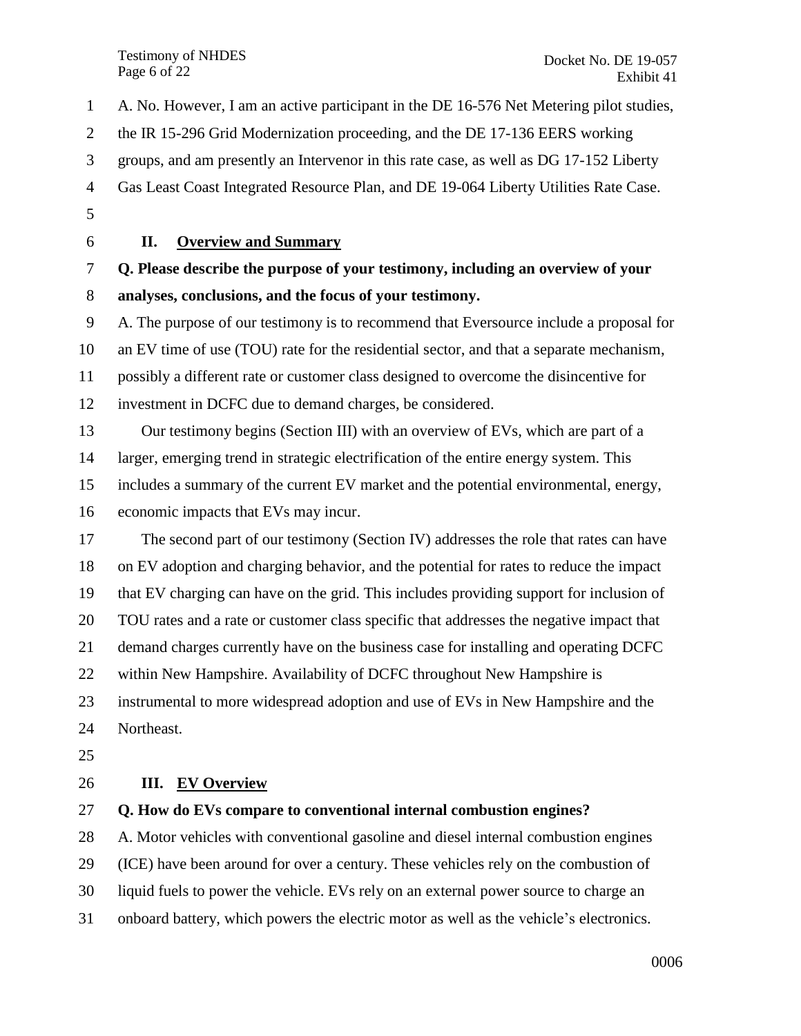Testimony of NHDES Page 6 of 22

 A. No. However, I am an active participant in the DE 16-576 Net Metering pilot studies, the IR 15-296 Grid Modernization proceeding, and the DE 17-136 EERS working groups, and am presently an Intervenor in this rate case, as well as DG 17-152 Liberty Gas Least Coast Integrated Resource Plan, and DE 19-064 Liberty Utilities Rate Case. **II. Overview and Summary Q. Please describe the purpose of your testimony, including an overview of your analyses, conclusions, and the focus of your testimony.** A. The purpose of our testimony is to recommend that Eversource include a proposal for an EV time of use (TOU) rate for the residential sector, and that a separate mechanism,

<span id="page-5-0"></span>possibly a different rate or customer class designed to overcome the disincentive for

investment in DCFC due to demand charges, be considered.

 Our testimony begins (Section III) with an overview of EVs, which are part of a larger, emerging trend in strategic electrification of the entire energy system. This includes a summary of the current EV market and the potential environmental, energy, economic impacts that EVs may incur.

 The second part of our testimony (Section IV) addresses the role that rates can have on EV adoption and charging behavior, and the potential for rates to reduce the impact that EV charging can have on the grid. This includes providing support for inclusion of TOU rates and a rate or customer class specific that addresses the negative impact that demand charges currently have on the business case for installing and operating DCFC within New Hampshire. Availability of DCFC throughout New Hampshire is instrumental to more widespread adoption and use of EVs in New Hampshire and the

- Northeast.
- 

## <span id="page-5-1"></span>**III. EV Overview**

## **Q. How do EVs compare to conventional internal combustion engines?**

A. Motor vehicles with conventional gasoline and diesel internal combustion engines

(ICE) have been around for over a century. These vehicles rely on the combustion of

- liquid fuels to power the vehicle. EVs rely on an external power source to charge an
- onboard battery, which powers the electric motor as well as the vehicle's electronics.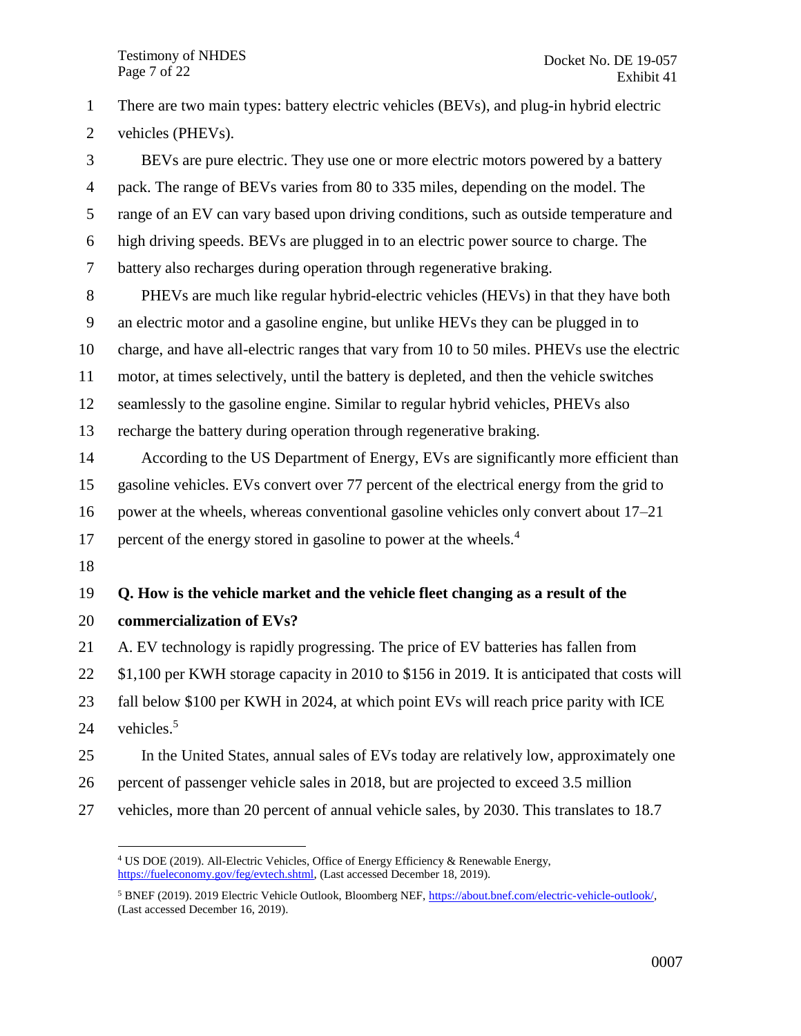There are two main types: battery electric vehicles (BEVs), and plug-in hybrid electric vehicles (PHEVs). BEVs are pure electric. They use one or more electric motors powered by a battery pack. The range of BEVs varies from 80 to 335 miles, depending on the model. The range of an EV can vary based upon driving conditions, such as outside temperature and high driving speeds. BEVs are plugged in to an electric power source to charge. The battery also recharges during operation through regenerative braking. PHEVs are much like regular hybrid-electric vehicles (HEVs) in that they have both an electric motor and a gasoline engine, but unlike HEVs they can be plugged in to charge, and have all-electric ranges that vary from 10 to 50 miles. PHEVs use the electric motor, at times selectively, until the battery is depleted, and then the vehicle switches seamlessly to the gasoline engine. Similar to regular hybrid vehicles, PHEVs also recharge the battery during operation through regenerative braking. According to the US Department of Energy, EVs are significantly more efficient than gasoline vehicles. EVs convert over 77 percent of the electrical energy from the grid to power at the wheels, whereas conventional gasoline vehicles only convert about 17–21 percent of the energy stored in gasoline to power at the wheels.<sup>4</sup> **Q. How is the vehicle market and the vehicle fleet changing as a result of the commercialization of EVs?** A. EV technology is rapidly progressing. The price of EV batteries has fallen from \$1,100 per KWH storage capacity in 2010 to \$156 in 2019. It is anticipated that costs will fall below \$100 per KWH in 2024, at which point EVs will reach price parity with ICE vehicles.<sup>5</sup> In the United States, annual sales of EVs today are relatively low, approximately one percent of passenger vehicle sales in 2018, but are projected to exceed 3.5 million vehicles, more than 20 percent of annual vehicle sales, by 2030. This translates to 18.7

 $\overline{a}$ 

 US DOE (2019). All-Electric Vehicles, Office of Energy Efficiency & Renewable Energy, [https://fueleconomy.gov/feg/evtech.shtml,](https://fueleconomy.gov/feg/evtech.shtml) (Last accessed December 18, 2019).

 BNEF (2019). 2019 Electric Vehicle Outlook, Bloomberg NEF, [https://about.bnef.com/electric-vehicle-outlook/,](https://about.bnef.com/electric-vehicle-outlook/) (Last accessed December 16, 2019).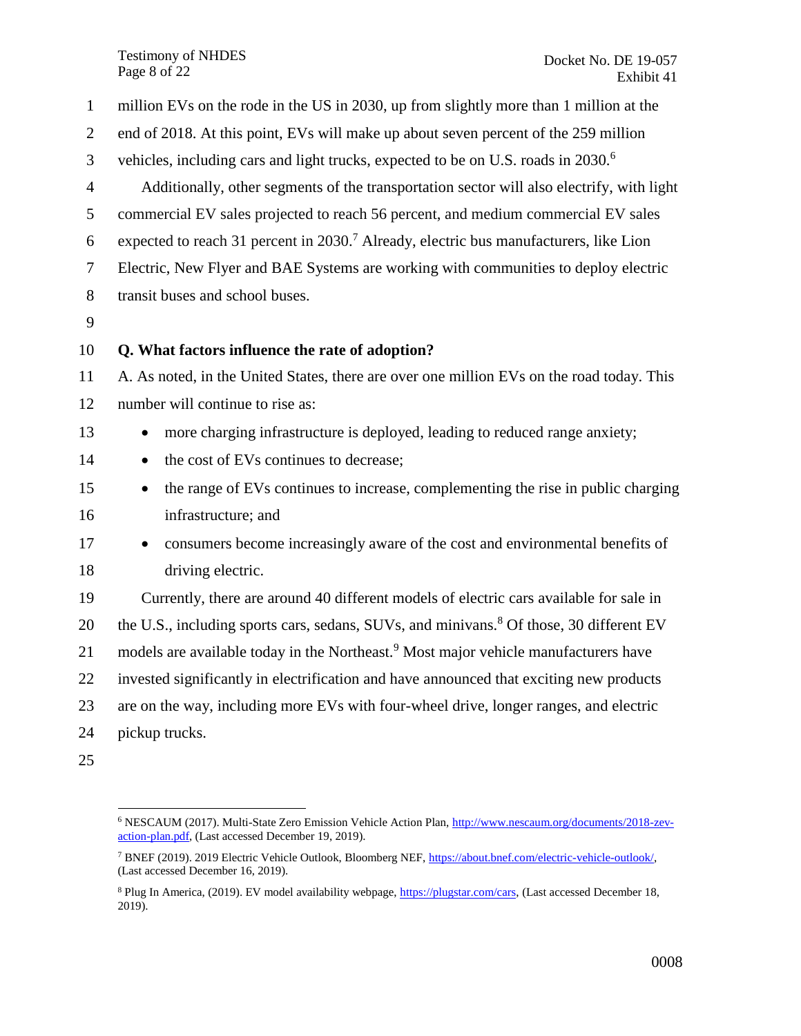Testimony of NHDES Page 8 of 22

 million EVs on the rode in the US in 2030, up from slightly more than 1 million at the end of 2018. At this point, EVs will make up about seven percent of the 259 million vehicles, including cars and light trucks, expected to be on U.S. roads in  $2030<sup>6</sup>$  Additionally, other segments of the transportation sector will also electrify, with light commercial EV sales projected to reach 56 percent, and medium commercial EV sales 6 expected to reach 31 percent in .<sup>7</sup> Already, electric bus manufacturers, like Lion Electric, New Flyer and BAE Systems are working with communities to deploy electric transit buses and school buses. **Q. What factors influence the rate of adoption?** A. As noted, in the United States, there are over one million EVs on the road today. This number will continue to rise as: 13 • more charging infrastructure is deployed, leading to reduced range anxiety; **the cost of EVs continues to decrease; the range of EVs continues to increase, complementing the rise in public charging**  infrastructure; and 17 • consumers become increasingly aware of the cost and environmental benefits of driving electric. Currently, there are around 40 different models of electric cars available for sale in 20 the U.S., including sports cars, sedans, SUVs, and minivans.<sup>8</sup> Of those, 30 different EV 21 models are available today in the Northeast.<sup>9</sup> Most major vehicle manufacturers have invested significantly in electrification and have announced that exciting new products are on the way, including more EVs with four-wheel drive, longer ranges, and electric pickup trucks. 

 $\overline{a}$  NESCAUM (2017). Multi-State Zero Emission Vehicle Action Plan[, http://www.nescaum.org/documents/2018-zev](http://www.nescaum.org/documents/2018-zev-action-plan.pdf)[action-plan.pdf,](http://www.nescaum.org/documents/2018-zev-action-plan.pdf) (Last accessed December 19, 2019).

 BNEF (2019). 2019 Electric Vehicle Outlook, Bloomberg NEF, [https://about.bnef.com/electric-vehicle-outlook/,](https://about.bnef.com/electric-vehicle-outlook/) (Last accessed December 16, 2019).

<sup>&</sup>lt;sup>8</sup> Plug In America, (2019). EV model availability webpage, [https://plugstar.com/cars,](https://plugstar.com/cars) (Last accessed December 18, 2019).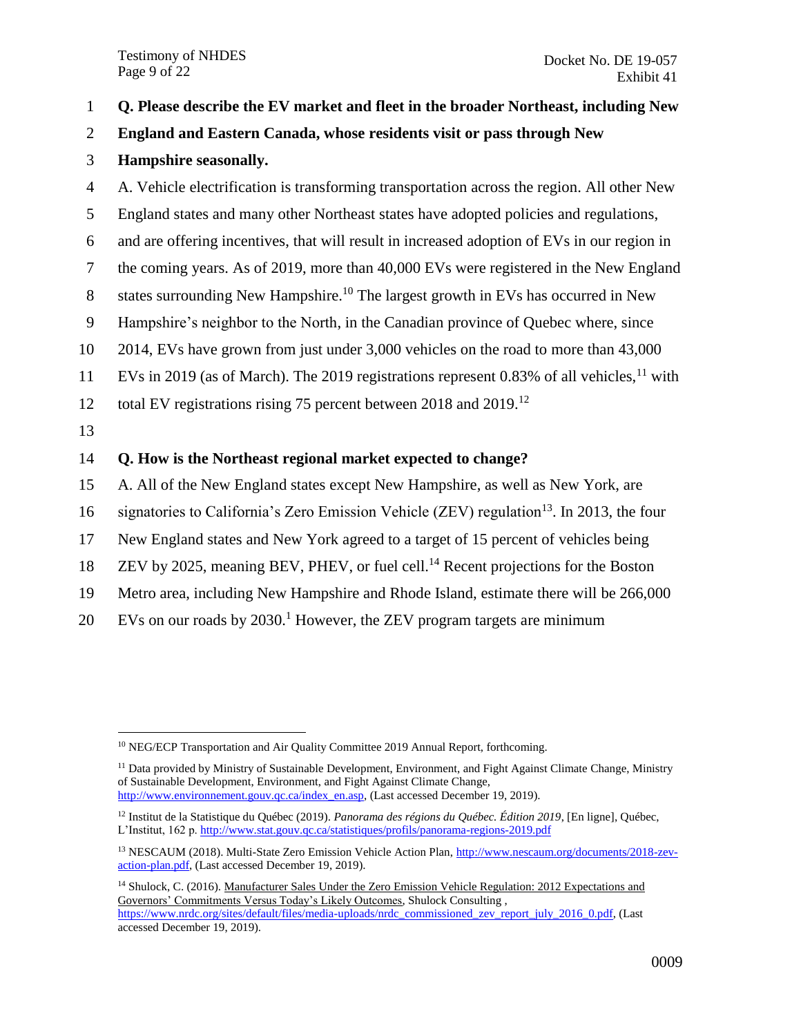#### 1 **Q. Please describe the EV market and fleet in the broader Northeast, including New**

#### 2 **England and Eastern Canada, whose residents visit or pass through New**

#### 3 **Hampshire seasonally.**

 A. Vehicle electrification is transforming transportation across the region. All other New England states and many other Northeast states have adopted policies and regulations, and are offering incentives, that will result in increased adoption of EVs in our region in the coming years. As of 2019, more than 40,000 EVs were registered in the New England 8 states surrounding New Hampshire.<sup>10</sup> The largest growth in EVs has occurred in New Hampshire's neighbor to the North, in the Canadian province of Quebec where, since 2014, EVs have grown from just under 3,000 vehicles on the road to more than 43,000 11 EVs in 2019 (as of March). The 2019 registrations represent 0.83% of all vehicles,  $11$  with 12 total EV registrations rising 75 percent between 2018 and  $2019$ <sup>12</sup> 13 **Q. How is the Northeast regional market expected to change?** A. All of the New England states except New Hampshire, as well as New York, are 16 signatories to California's Zero Emission Vehicle (ZEV) regulation<sup>13</sup>. In 2013, the four

- 17 New England states and New York agreed to a target of 15 percent of vehicles being
- 18 ZEV by 2025, meaning BEV, PHEV, or fuel cell.<sup>14</sup> Recent projections for the Boston
- 19 Metro area, including New Hampshire and Rhode Island, estimate there will be 266,000
- 20 EVs on our roads by  $2030<sup>1</sup>$  However, the ZEV program targets are minimum

 $\overline{a}$ <sup>10</sup> NEG/ECP Transportation and Air Quality Committee 2019 Annual Report, forthcoming.

<sup>&</sup>lt;sup>11</sup> Data provided by Ministry of Sustainable Development, Environment, and Fight Against Climate Change, Ministry of Sustainable Development, Environment, and Fight Against Climate Change, [http://www.environnement.gouv.qc.ca/index\\_en.asp,](http://www.environnement.gouv.qc.ca/index_en.asp) (Last accessed December 19, 2019).

<sup>12</sup> Institut de la Statistique du Québec (2019). *Panorama des régions du Québec. Édition 2019*, [En ligne], Québec, L'Institut, 162 p[. http://www.stat.gouv.qc.ca/statistiques/profils/panorama-regions-2019.pdf](http://www.stat.gouv.qc.ca/statistiques/profils/panorama-regions-2019.pdf)

<sup>13</sup> NESCAUM (2018). Multi-State Zero Emission Vehicle Action Plan[, http://www.nescaum.org/documents/2018-zev](http://www.nescaum.org/documents/2018-zev-action-plan.pdf)[action-plan.pdf,](http://www.nescaum.org/documents/2018-zev-action-plan.pdf) (Last accessed December 19, 2019).

<sup>14</sup> Shulock, C. (2016). Manufacturer Sales Under the Zero Emission Vehicle Regulation: 2012 Expectations and Governors' Commitments Versus Today's Likely Outcomes, Shulock Consulting , [https://www.nrdc.org/sites/default/files/media-uploads/nrdc\\_commissioned\\_zev\\_report\\_july\\_2016\\_0.pdf,](https://www.nrdc.org/sites/default/files/media-uploads/nrdc_commissioned_zev_report_july_2016_0.pdf) (Last accessed December 19, 2019).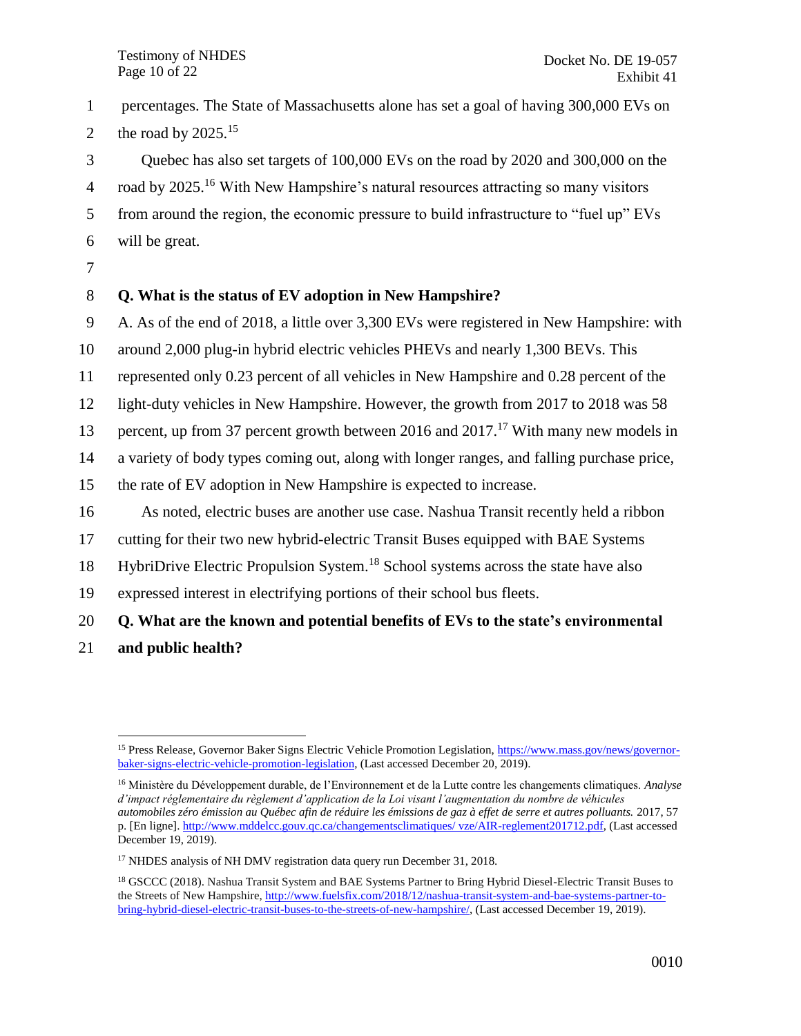1 percentages. The State of Massachusetts alone has set a goal of having 300,000 EVs on

2 the road by  $2025.^{15}$ 

3 Quebec has also set targets of 100,000 EVs on the road by 2020 and 300,000 on the

4 road by 2025.<sup>16</sup> With New Hampshire's natural resources attracting so many visitors

5 from around the region, the economic pressure to build infrastructure to "fuel up" EVs

- 6 will be great.
- 7

## 8 **Q. What is the status of EV adoption in New Hampshire?**

9 A. As of the end of 2018, a little over 3,300 EVs were registered in New Hampshire: with

10 around 2,000 plug-in hybrid electric vehicles PHEVs and nearly 1,300 BEVs. This

11 represented only 0.23 percent of all vehicles in New Hampshire and 0.28 percent of the

12 light-duty vehicles in New Hampshire. However, the growth from 2017 to 2018 was 58

13 percent, up from 37 percent growth between 2016 and 2017.<sup>17</sup> With many new models in

14 a variety of body types coming out, along with longer ranges, and falling purchase price,

15 the rate of EV adoption in New Hampshire is expected to increase.

16 As noted, electric buses are another use case. Nashua Transit recently held a ribbon

17 cutting for their two new hybrid-electric Transit Buses equipped with BAE Systems

18 HybriDrive Electric Propulsion System.<sup>18</sup> School systems across the state have also

19 expressed interest in electrifying portions of their school bus fleets.

## 20 **Q. What are the known and potential benefits of EVs to the state's environmental**

21 **and public health?**

 $\overline{a}$ <sup>15</sup> Press Release, Governor Baker Signs Electric Vehicle Promotion Legislation[, https://www.mass.gov/news/governor](https://www.mass.gov/news/governor-baker-signs-electric-vehicle-promotion-legislation)[baker-signs-electric-vehicle-promotion-legislation,](https://www.mass.gov/news/governor-baker-signs-electric-vehicle-promotion-legislation) (Last accessed December 20, 2019).

<sup>16</sup> Ministère du Développement durable, de l'Environnement et de la Lutte contre les changements climatiques. *Analyse d'impact réglementaire du règlement d'application de la Loi visant l'augmentation du nombre de véhicules automobiles zéro émission au Québec afin de réduire les émissions de gaz à effet de serre et autres polluants.* 2017, 57 p. [En ligne]. http://www.mddelcc.gouv.qc.ca/changementsclimatiques/ vze/AIR-reglement201712.pdf, (Last accessed [December 19, 2019\).](http://www.mddelcc.gouv.qc.ca/changementsclimatiques/%20vze/AIR-reglement201712.pdf) 

<sup>&</sup>lt;sup>17</sup> NHDES analysis of NH DMV registration data query run December 31, 2018.

<sup>&</sup>lt;sup>18</sup> GSCCC (2018). Nashua Transit System and BAE Systems Partner to Bring Hybrid Diesel-Electric Transit Buses to the Streets of New Hampshire, [http://www.fuelsfix.com/2018/12/nashua-transit-system-and-bae-systems-partner-to](http://www.fuelsfix.com/2018/12/nashua-transit-system-and-bae-systems-partner-to-bring-hybrid-diesel-electric-transit-buses-to-the-streets-of-new-hampshire/)[bring-hybrid-diesel-electric-transit-buses-to-the-streets-of-new-hampshire/,](http://www.fuelsfix.com/2018/12/nashua-transit-system-and-bae-systems-partner-to-bring-hybrid-diesel-electric-transit-buses-to-the-streets-of-new-hampshire/) (Last accessed December 19, 2019).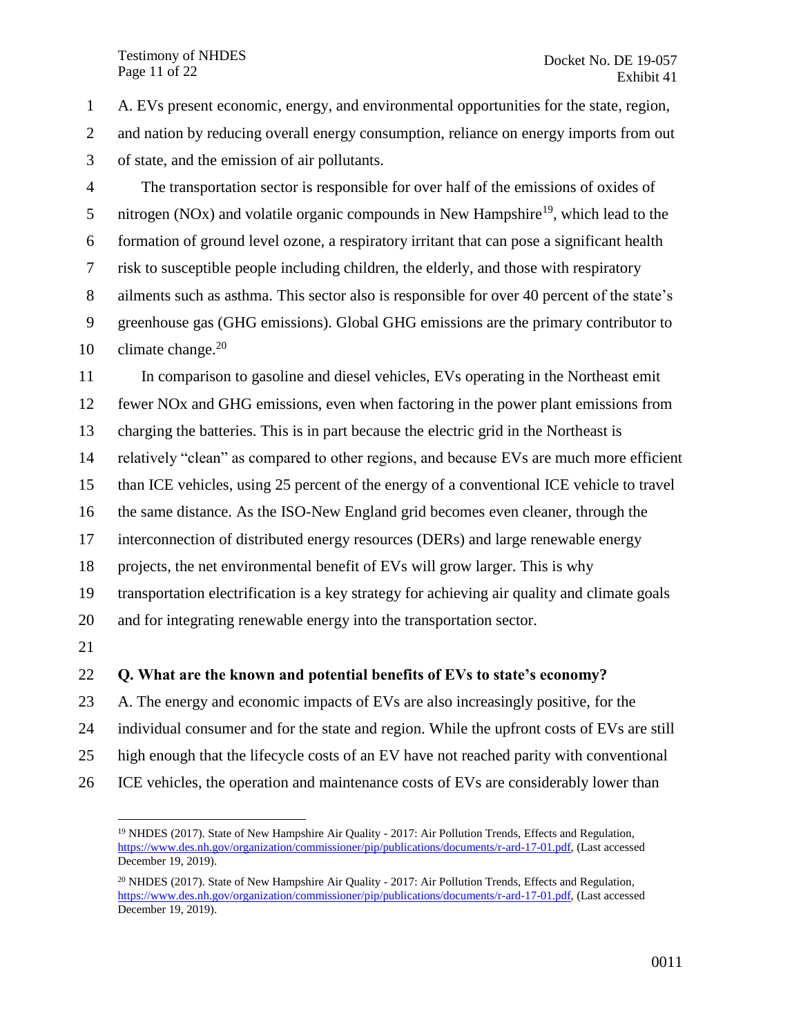#### Testimony of NHDES Page 11 of 22

 $\overline{a}$ 

 A. EVs present economic, energy, and environmental opportunities for the state, region, 2 and nation by reducing overall energy consumption, reliance on energy imports from out of state, and the emission of air pollutants. The transportation sector is responsible for over half of the emissions of oxides of 5 nitrogen (NOx) and volatile organic compounds in New Hampshire<sup>19</sup>, which lead to the formation of ground level ozone, a respiratory irritant that can pose a significant health risk to susceptible people including children, the elderly, and those with respiratory ailments such as asthma. This sector also is responsible for over 40 percent of the state's greenhouse gas (GHG emissions). Global GHG emissions are the primary contributor to 10 climate change. In comparison to gasoline and diesel vehicles, EVs operating in the Northeast emit fewer NOx and GHG emissions, even when factoring in the power plant emissions from charging the batteries. This is in part because the electric grid in the Northeast is relatively "clean" as compared to other regions, and because EVs are much more efficient than ICE vehicles, using 25 percent of the energy of a conventional ICE vehicle to travel the same distance. As the ISO-New England grid becomes even cleaner, through the interconnection of distributed energy resources (DERs) and large renewable energy projects, the net environmental benefit of EVs will grow larger. This is why transportation electrification is a key strategy for achieving air quality and climate goals and for integrating renewable energy into the transportation sector. **Q. What are the known and potential benefits of EVs to state's economy?** A. The energy and economic impacts of EVs are also increasingly positive, for the individual consumer and for the state and region. While the upfront costs of EVs are still high enough that the lifecycle costs of an EV have not reached parity with conventional

ICE vehicles, the operation and maintenance costs of EVs are considerably lower than

<sup>&</sup>lt;sup>19</sup> NHDES (2017). State of New Hampshire Air Quality - 2017: Air Pollution Trends, Effects and Regulation, [https://www.des.nh.gov/organization/commissioner/pip/publications/documents/r-ard-17-01.pdf,](https://www.des.nh.gov/organization/commissioner/pip/publications/documents/r-ard-17-01.pdf) (Last accessed December 19, 2019).

 $^{20}$  NHDES (2017). State of New Hampshire Air Quality - 2017: Air Pollution Trends, Effects and Regulation, [https://www.des.nh.gov/organization/commissioner/pip/publications/documents/r-ard-17-01.pdf,](https://www.des.nh.gov/organization/commissioner/pip/publications/documents/r-ard-17-01.pdf) (Last accessed December 19, 2019).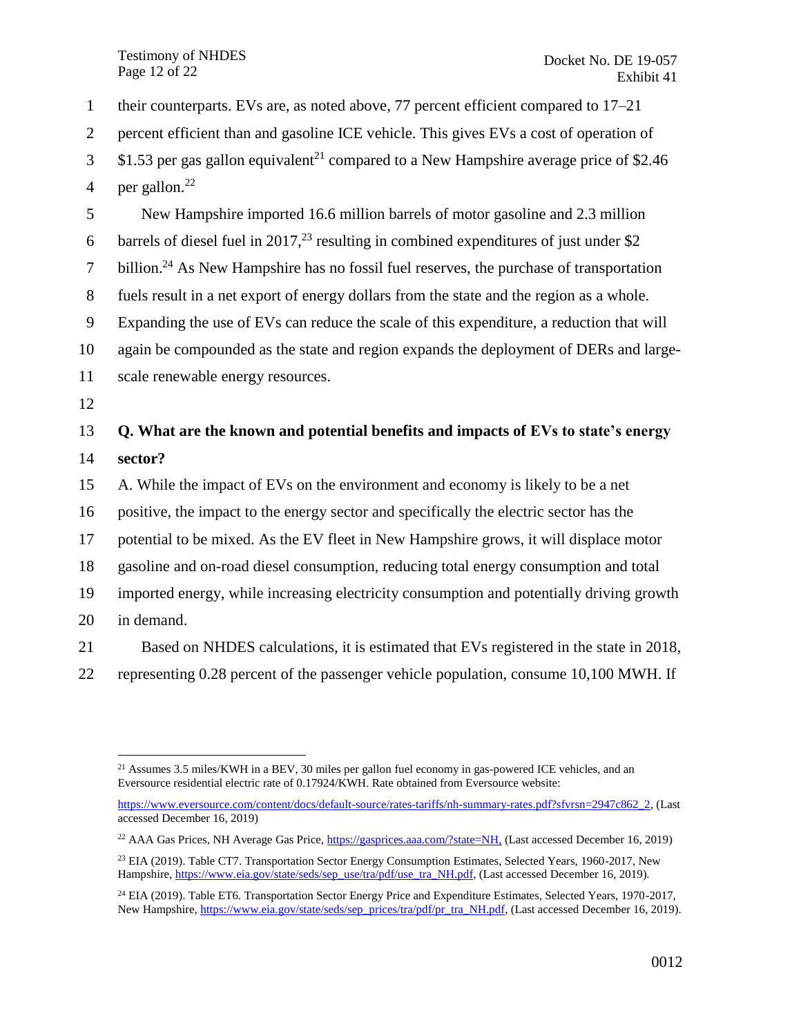Testimony of NHDES Page 12 of 22

 their counterparts. EVs are, as noted above, 77 percent efficient compared to 17–21 percent efficient than and gasoline ICE vehicle. This gives EVs a cost of operation of  $3\quad$  \$1.53 per gas gallon equivalent<sup>21</sup> compared to a New Hampshire average price of \$2.46 4 per gallon. $^{22}$  New Hampshire imported 16.6 million barrels of motor gasoline and 2.3 million 6 barrels of diesel fuel in 2017,<sup>23</sup> resulting in combined expenditures of just under \$2  $\mu$  billion.<sup>24</sup> As New Hampshire has no fossil fuel reserves, the purchase of transportation fuels result in a net export of energy dollars from the state and the region as a whole. Expanding the use of EVs can reduce the scale of this expenditure, a reduction that will again be compounded as the state and region expands the deployment of DERs and large- scale renewable energy resources. 12 **Q. What are the known and potential benefits and impacts of EVs to state's energy**  14 **sector?** A. While the impact of EVs on the environment and economy is likely to be a net positive, the impact to the energy sector and specifically the electric sector has the potential to be mixed. As the EV fleet in New Hampshire grows, it will displace motor gasoline and on-road diesel consumption, reducing total energy consumption and total imported energy, while increasing electricity consumption and potentially driving growth in demand.

21 Based on NHDES calculations, it is estimated that EVs registered in the state in 2018,

22 representing 0.28 percent of the passenger vehicle population, consume 10,100 MWH. If

[https://www.eversource.com/content/docs/default-source/rates-tariffs/nh-summary-rates.pdf?sfvrsn=2947c862\\_2,](https://www.eversource.com/content/docs/default-source/rates-tariffs/nh-summary-rates.pdf?sfvrsn=2947c862_2) (Last accessed December 16, 2019)

 $\overline{a}$ <sup>21</sup> Assumes 3.5 miles/KWH in a BEV, 30 miles per gallon fuel economy in gas-powered ICE vehicles, and an Eversource residential electric rate of 0.17924/KWH. Rate obtained from Eversource website:

<sup>22</sup> AAA Gas Prices, NH Average Gas Price, [https://gasprices.aaa.com/?state=NH,](https://gasprices.aaa.com/?state=NH) (Last accessed December 16, 2019)

<sup>&</sup>lt;sup>23</sup> EIA (2019). Table CT7. Transportation Sector Energy Consumption Estimates, Selected Years, 1960-2017, New Hampshire, [https://www.eia.gov/state/seds/sep\\_use/tra/pdf/use\\_tra\\_NH.pdf,](https://www.eia.gov/state/seds/sep_use/tra/pdf/use_tra_NH.pdf) (Last accessed December 16, 2019).

<sup>&</sup>lt;sup>24</sup> EIA (2019). Table ET6. Transportation Sector Energy Price and Expenditure Estimates, Selected Years, 1970-2017, New Hampshire, [https://www.eia.gov/state/seds/sep\\_prices/tra/pdf/pr\\_tra\\_NH.pdf,](https://www.eia.gov/state/seds/sep_prices/tra/pdf/pr_tra_NH.pdf) (Last accessed December 16, 2019).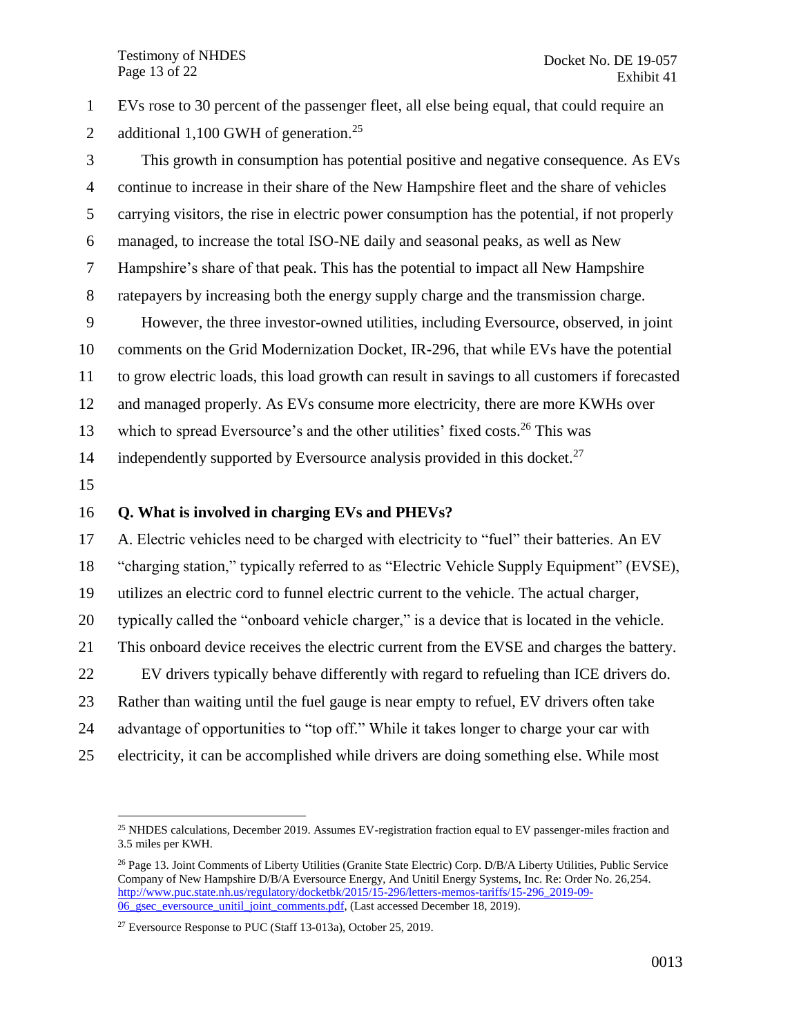EVs rose to 30 percent of the passenger fleet, all else being equal, that could require an 2 additional 1,100 GWH of generation.<sup>25</sup>

 This growth in consumption has potential positive and negative consequence. As EVs continue to increase in their share of the New Hampshire fleet and the share of vehicles carrying visitors, the rise in electric power consumption has the potential, if not properly managed, to increase the total ISO-NE daily and seasonal peaks, as well as New Hampshire's share of that peak. This has the potential to impact all New Hampshire ratepayers by increasing both the energy supply charge and the transmission charge. However, the three investor-owned utilities, including Eversource, observed, in joint comments on the Grid Modernization Docket, IR-296, that while EVs have the potential to grow electric loads, this load growth can result in savings to all customers if forecasted and managed properly. As EVs consume more electricity, there are more KWHs over 13 which to spread Eversource's and the other utilities' fixed costs.<sup>26</sup> This was 14 independently supported by Eversource analysis provided in this docket.<sup>27</sup>

 $\overline{a}$ 

#### **Q. What is involved in charging EVs and PHEVs?**

 A. Electric vehicles need to be charged with electricity to "fuel" their batteries. An EV "charging station," typically referred to as "Electric Vehicle Supply Equipment" (EVSE), utilizes an electric cord to funnel electric current to the vehicle. The actual charger, typically called the "onboard vehicle charger," is a device that is located in the vehicle. This onboard device receives the electric current from the EVSE and charges the battery. EV drivers typically behave differently with regard to refueling than ICE drivers do. Rather than waiting until the fuel gauge is near empty to refuel, EV drivers often take advantage of opportunities to "top off." While it takes longer to charge your car with electricity, it can be accomplished while drivers are doing something else. While most

<sup>&</sup>lt;sup>25</sup> NHDES calculations, December 2019. Assumes EV-registration fraction equal to EV passenger-miles fraction and 3.5 miles per KWH.

<sup>&</sup>lt;sup>26</sup> Page 13. Joint Comments of Liberty Utilities (Granite State Electric) Corp. D/B/A Liberty Utilities, Public Service Company of New Hampshire D/B/A Eversource Energy, And Unitil Energy Systems, Inc. Re: Order No. 26,254. [http://www.puc.state.nh.us/regulatory/docketbk/2015/15-296/letters-memos-tariffs/15-296\\_2019-09-](http://www.puc.state.nh.us/Regulatory/Docketbk/2015/15-296/LETTERS-MEMOS-TARIFFS/15-296_2019-09-06_GSEC_EVERSOURCE_UNITIL_JOINT_COMMENTS.PDF) [06\\_gsec\\_eversource\\_unitil\\_joint\\_comments.pdf,](http://www.puc.state.nh.us/Regulatory/Docketbk/2015/15-296/LETTERS-MEMOS-TARIFFS/15-296_2019-09-06_GSEC_EVERSOURCE_UNITIL_JOINT_COMMENTS.PDF) (Last accessed December 18, 2019).

<sup>&</sup>lt;sup>27</sup> Eversource Response to PUC (Staff 13-013a), October 25, 2019.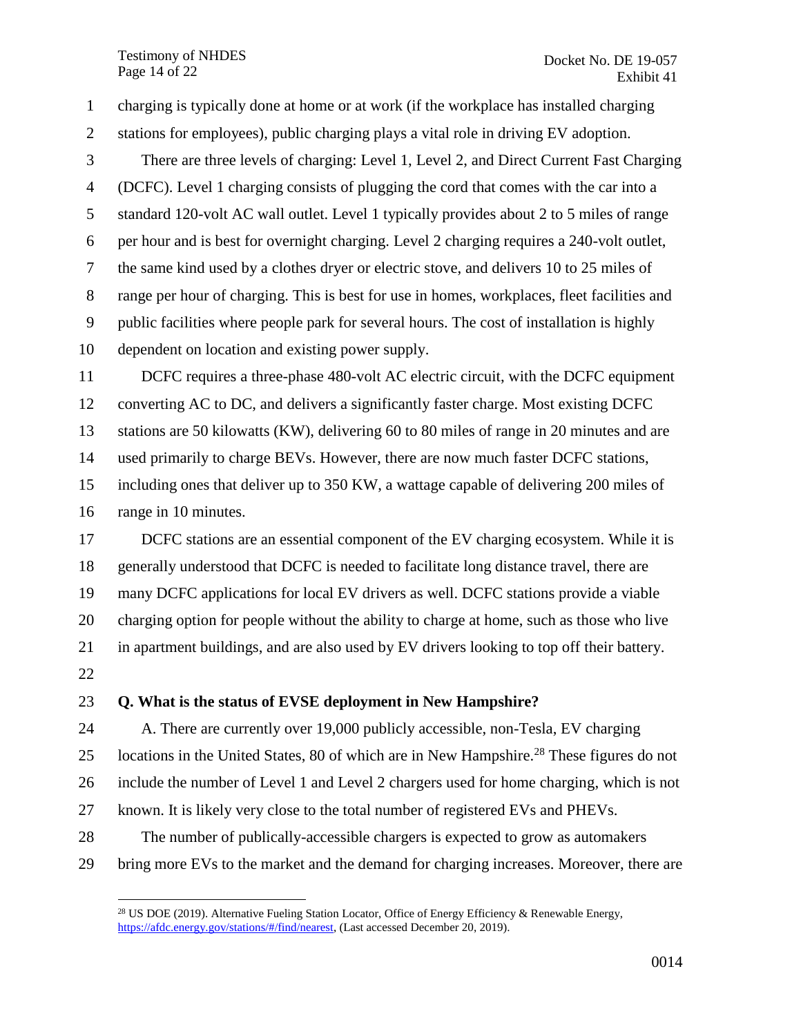Testimony of NHDES Page 14 of 22

 charging is typically done at home or at work (if the workplace has installed charging stations for employees), public charging plays a vital role in driving EV adoption. There are three levels of charging: Level 1, Level 2, and Direct Current Fast Charging (DCFC). Level 1 charging consists of plugging the cord that comes with the car into a standard 120-volt AC wall outlet. Level 1 typically provides about 2 to 5 miles of range per hour and is best for overnight charging. Level 2 charging requires a 240-volt outlet, the same kind used by a clothes dryer or electric stove, and delivers 10 to 25 miles of range per hour of charging. This is best for use in homes, workplaces, fleet facilities and public facilities where people park for several hours. The cost of installation is highly dependent on location and existing power supply. DCFC requires a three-phase 480-volt AC electric circuit, with the DCFC equipment converting AC to DC, and delivers a significantly faster charge. Most existing DCFC stations are 50 kilowatts (KW), delivering 60 to 80 miles of range in 20 minutes and are used primarily to charge BEVs. However, there are now much faster DCFC stations, including ones that deliver up to 350 KW, a wattage capable of delivering 200 miles of range in 10 minutes. 17 DCFC stations are an essential component of the EV charging ecosystem. While it is

 generally understood that DCFC is needed to facilitate long distance travel, there are many DCFC applications for local EV drivers as well. DCFC stations provide a viable charging option for people without the ability to charge at home, such as those who live in apartment buildings, and are also used by EV drivers looking to top off their battery.

 $\overline{a}$ 

#### **Q. What is the status of EVSE deployment in New Hampshire?**

 A. There are currently over 19,000 publicly accessible, non-Tesla, EV charging 25 Iocations in the United States, 80 of which are in New Hampshire.<sup>28</sup> These figures do not include the number of Level 1 and Level 2 chargers used for home charging, which is not known. It is likely very close to the total number of registered EVs and PHEVs. The number of publically-accessible chargers is expected to grow as automakers

bring more EVs to the market and the demand for charging increases. Moreover, there are

<sup>&</sup>lt;sup>28</sup> US DOE (2019). Alternative Fueling Station Locator, Office of Energy Efficiency & Renewable Energy, [https://afdc.energy.gov/stations/#/find/nearest,](https://afdc.energy.gov/stations/#/find/nearest) (Last accessed December 20, 2019).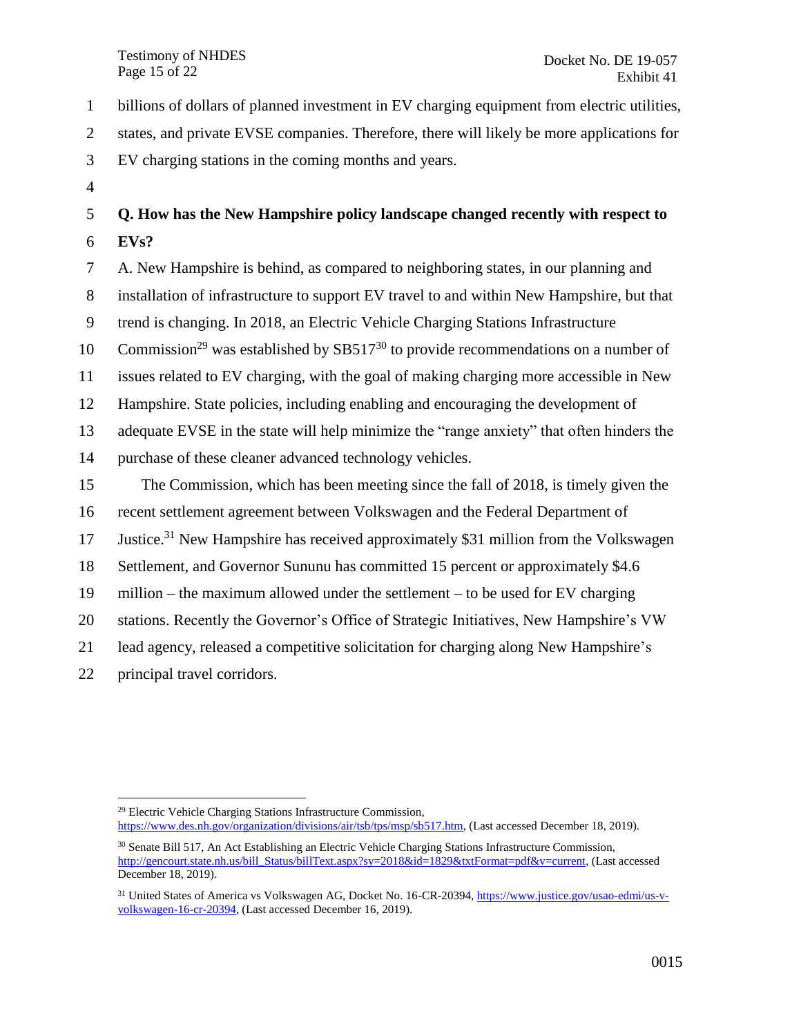Testimony of NHDES Page 15 of 22

billions of dollars of planned investment in EV charging equipment from electric utilities,

states, and private EVSE companies. Therefore, there will likely be more applications for

- EV charging stations in the coming months and years.
- 

# **Q. How has the New Hampshire policy landscape changed recently with respect to EVs?**

 A. New Hampshire is behind, as compared to neighboring states, in our planning and installation of infrastructure to support EV travel to and within New Hampshire, but that trend is changing. In 2018, an Electric Vehicle Charging Stations Infrastructure 10 Commission<sup>29</sup> was established by SB517<sup>30</sup> to provide recommendations on a number of issues related to EV charging, with the goal of making charging more accessible in New Hampshire. State policies, including enabling and encouraging the development of adequate EVSE in the state will help minimize the "range anxiety" that often hinders the purchase of these cleaner advanced technology vehicles. The Commission, which has been meeting since the fall of 2018, is timely given the recent settlement agreement between Volkswagen and the Federal Department of 17 Justice.<sup>31</sup> New Hampshire has received approximately \$31 million from the Volkswagen Settlement, and Governor Sununu has committed 15 percent or approximately \$4.6 million – the maximum allowed under the settlement – to be used for EV charging stations. Recently the Governor's Office of Strategic Initiatives, New Hampshire's VW lead agency, released a competitive solicitation for charging along New Hampshire's principal travel corridors.

 $\overline{a}$  Electric Vehicle Charging Stations Infrastructure Commission, [https://www.des.nh.gov/organization/divisions/air/tsb/tps/msp/sb517.htm,](https://www.des.nh.gov/organization/divisions/air/tsb/tps/msp/sb517.htm) (Last accessed December 18, 2019).

 Senate Bill 517, An Act Establishing an Electric Vehicle Charging Stations Infrastructure Commission, [http://gencourt.state.nh.us/bill\\_Status/billText.aspx?sy=2018&id=1829&txtFormat=pdf&v=current,](http://gencourt.state.nh.us/bill_Status/billText.aspx?sy=2018&id=1829&txtFormat=pdf&v=current) (Last accessed December 18, 2019).

<sup>&</sup>lt;sup>31</sup> United States of America vs Volkswagen AG, Docket No. 16-CR-20394[, https://www.justice.gov/usao-edmi/us-v](https://www.justice.gov/usao-edmi/us-v-volkswagen-16-cr-20394)[volkswagen-16-cr-20394,](https://www.justice.gov/usao-edmi/us-v-volkswagen-16-cr-20394) (Last accessed December 16, 2019).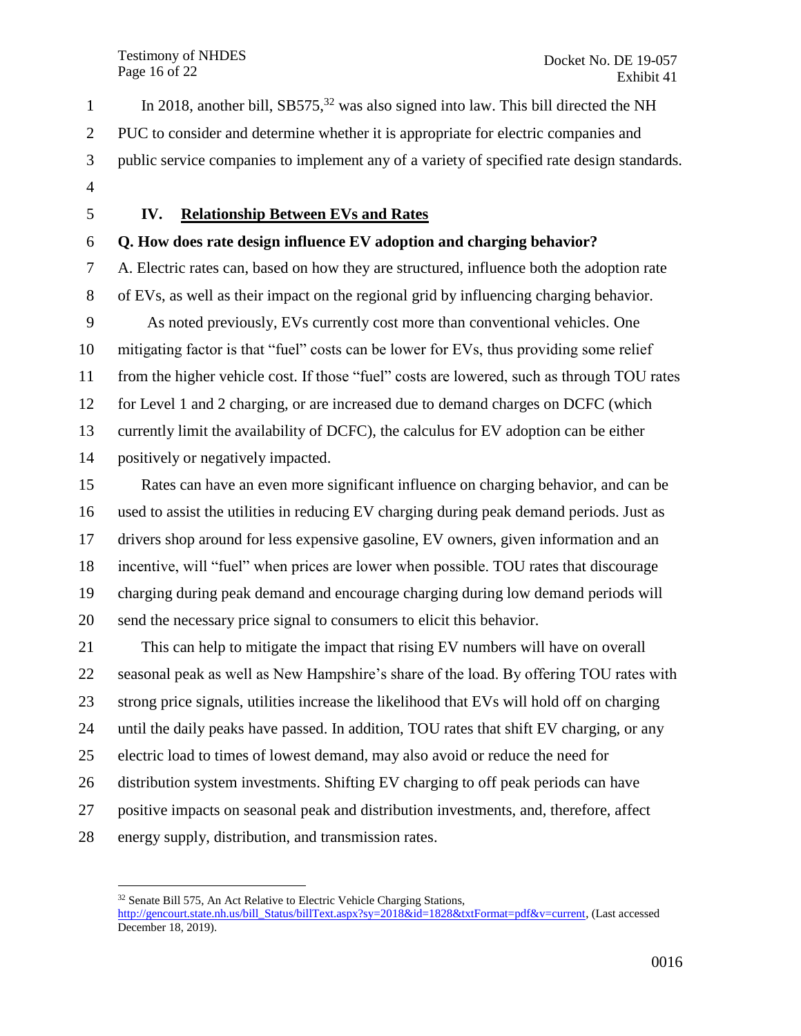Testimony of NHDES Page 16 of 22

In 2018, another bill,  $SB575<sup>32</sup>$  was also signed into law. This bill directed the NH PUC to consider and determine whether it is appropriate for electric companies and public service companies to implement any of a variety of specified rate design standards. 

 $\overline{a}$ 

#### <span id="page-15-0"></span>**IV. Relationship Between EVs and Rates**

#### **Q. How does rate design influence EV adoption and charging behavior?**

 A. Electric rates can, based on how they are structured, influence both the adoption rate of EVs, as well as their impact on the regional grid by influencing charging behavior. As noted previously, EVs currently cost more than conventional vehicles. One mitigating factor is that "fuel" costs can be lower for EVs, thus providing some relief from the higher vehicle cost. If those "fuel" costs are lowered, such as through TOU rates for Level 1 and 2 charging, or are increased due to demand charges on DCFC (which currently limit the availability of DCFC), the calculus for EV adoption can be either positively or negatively impacted.

 Rates can have an even more significant influence on charging behavior, and can be used to assist the utilities in reducing EV charging during peak demand periods. Just as drivers shop around for less expensive gasoline, EV owners, given information and an incentive, will "fuel" when prices are lower when possible. TOU rates that discourage charging during peak demand and encourage charging during low demand periods will send the necessary price signal to consumers to elicit this behavior.

 This can help to mitigate the impact that rising EV numbers will have on overall seasonal peak as well as New Hampshire's share of the load. By offering TOU rates with strong price signals, utilities increase the likelihood that EVs will hold off on charging until the daily peaks have passed. In addition, TOU rates that shift EV charging, or any electric load to times of lowest demand, may also avoid or reduce the need for distribution system investments. Shifting EV charging to off peak periods can have positive impacts on seasonal peak and distribution investments, and, therefore, affect energy supply, distribution, and transmission rates.

<sup>&</sup>lt;sup>32</sup> Senate Bill 575, An Act Relative to Electric Vehicle Charging Stations, [http://gencourt.state.nh.us/bill\\_Status/billText.aspx?sy=2018&id=1828&txtFormat=pdf&v=current,](http://gencourt.state.nh.us/bill_Status/billText.aspx?sy=2018&id=1828&txtFormat=pdf&v=current) (Last accessed December 18, 2019).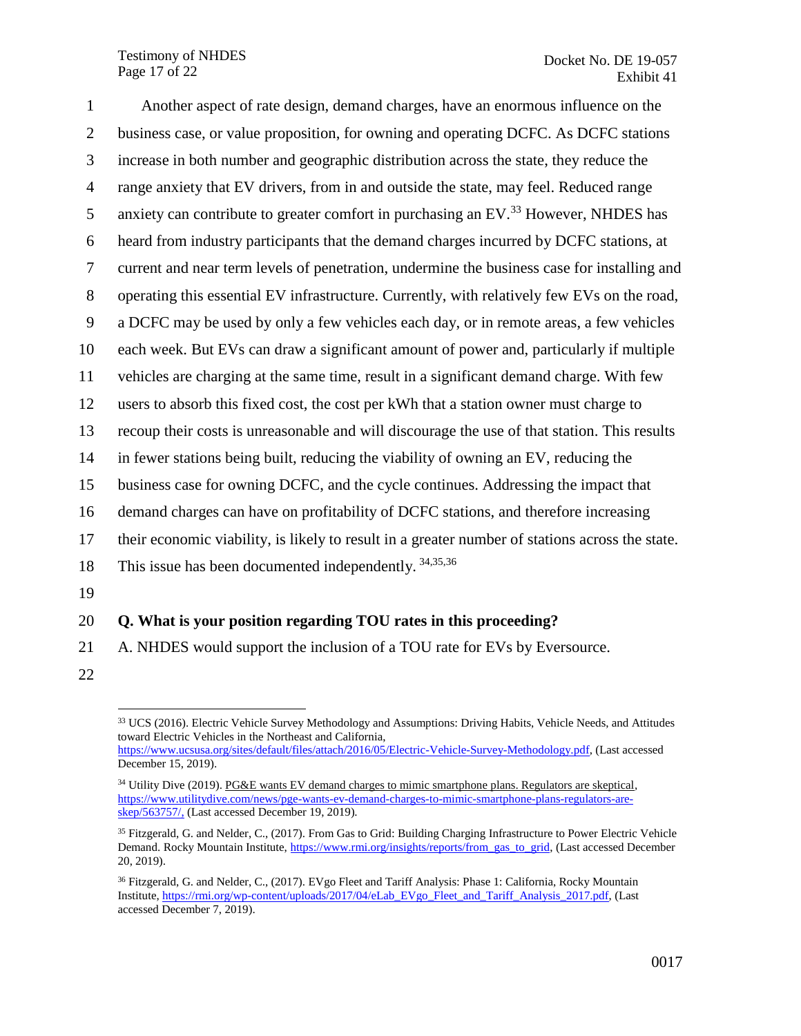Testimony of NHDES Page 17 of 22

 Another aspect of rate design, demand charges, have an enormous influence on the business case, or value proposition, for owning and operating DCFC. As DCFC stations increase in both number and geographic distribution across the state, they reduce the range anxiety that EV drivers, from in and outside the state, may feel. Reduced range 5 anxiety can contribute to greater comfort in purchasing an EV.<sup>33</sup> However, NHDES has heard from industry participants that the demand charges incurred by DCFC stations, at current and near term levels of penetration, undermine the business case for installing and operating this essential EV infrastructure. Currently, with relatively few EVs on the road, a DCFC may be used by only a few vehicles each day, or in remote areas, a few vehicles each week. But EVs can draw a significant amount of power and, particularly if multiple vehicles are charging at the same time, result in a significant demand charge. With few users to absorb this fixed cost, the cost per kWh that a station owner must charge to recoup their costs is unreasonable and will discourage the use of that station. This results in fewer stations being built, reducing the viability of owning an EV, reducing the business case for owning DCFC, and the cycle continues. Addressing the impact that demand charges can have on profitability of DCFC stations, and therefore increasing their economic viability, is likely to result in a greater number of stations across the state. 18 This issue has been documented independently.  $34,35,36$ 19 **Q. What is your position regarding TOU rates in this proceeding?**

- 21 A. NHDES would support the inclusion of a TOU rate for EVs by Eversource.
- 22

 $\overline{a}$ <sup>33</sup> UCS (2016). Electric Vehicle Survey Methodology and Assumptions: Driving Habits, Vehicle Needs, and Attitudes toward Electric Vehicles in the Northeast and California,

[https://www.ucsusa.org/sites/default/files/attach/2016/05/Electric-Vehicle-Survey-Methodology.pdf,](https://www.ucsusa.org/sites/default/files/attach/2016/05/Electric-Vehicle-Survey-Methodology.pdf) (Last accessed December 15, 2019).

<sup>&</sup>lt;sup>34</sup> Utility Dive (2019). PG&E wants EV demand charges to mimic smartphone plans. Regulators are skeptical, [https://www.utilitydive.com/news/pge-wants-ev-demand-charges-to-mimic-smartphone-plans-regulators-are](https://www.utilitydive.com/news/pge-wants-ev-demand-charges-to-mimic-smartphone-plans-regulators-are-skep/563757/)[skep/563757/,](https://www.utilitydive.com/news/pge-wants-ev-demand-charges-to-mimic-smartphone-plans-regulators-are-skep/563757/) (Last accessed December 19, 2019).

<sup>&</sup>lt;sup>35</sup> Fitzgerald, G. and Nelder, C., (2017). From Gas to Grid: Building Charging Infrastructure to Power Electric Vehicle Demand. Rocky Mountain Institute, [https://www.rmi.org/insights/reports/from\\_gas\\_to\\_grid,](https://www.rmi.org/insights/reports/from_gas_to_grid) (Last accessed December 20, 2019).

<sup>&</sup>lt;sup>36</sup> Fitzgerald, G. and Nelder, C., (2017). EVgo Fleet and Tariff Analysis: Phase 1: California, Rocky Mountain Institute, [https://rmi.org/wp-content/uploads/2017/04/eLab\\_EVgo\\_Fleet\\_and\\_Tariff\\_Analysis\\_2017.pdf,](https://rmi.org/wp-content/uploads/2017/04/eLab_EVgo_Fleet_and_Tariff_Analysis_2017.pdf) (Last accessed December 7, 2019).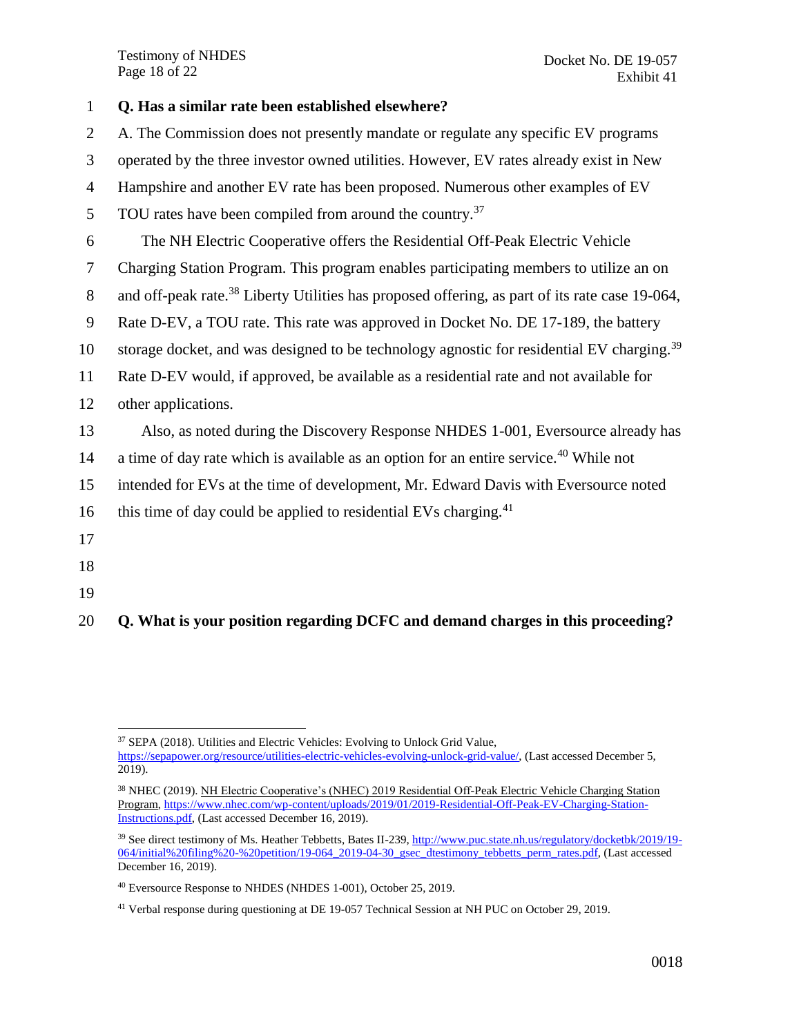Testimony of NHDES Page 18 of 22

| $\mathbf{1}$   | Q. Has a similar rate been established elsewhere?                                                          |
|----------------|------------------------------------------------------------------------------------------------------------|
| $\overline{2}$ | A. The Commission does not presently mandate or regulate any specific EV programs                          |
| 3              | operated by the three investor owned utilities. However, EV rates already exist in New                     |
| $\overline{4}$ | Hampshire and another EV rate has been proposed. Numerous other examples of EV                             |
| 5              | TOU rates have been compiled from around the country. <sup>37</sup>                                        |
| 6              | The NH Electric Cooperative offers the Residential Off-Peak Electric Vehicle                               |
| 7              | Charging Station Program. This program enables participating members to utilize an on                      |
| 8              | and off-peak rate. <sup>38</sup> Liberty Utilities has proposed offering, as part of its rate case 19-064, |
| 9              | Rate D-EV, a TOU rate. This rate was approved in Docket No. DE 17-189, the battery                         |
| 10             | storage docket, and was designed to be technology agnostic for residential EV charging. <sup>39</sup>      |
| 11             | Rate D-EV would, if approved, be available as a residential rate and not available for                     |
| 12             | other applications.                                                                                        |
| 13             | Also, as noted during the Discovery Response NHDES 1-001, Eversource already has                           |
| 14             | a time of day rate which is available as an option for an entire service. <sup>40</sup> While not          |
| 15             | intended for EVs at the time of development, Mr. Edward Davis with Eversource noted                        |
| 16             | this time of day could be applied to residential EVs charging. <sup>41</sup>                               |
| 17             |                                                                                                            |
| 18             |                                                                                                            |
| 19             |                                                                                                            |

20 **Q. What is your position regarding DCFC and demand charges in this proceeding?**

 $\overline{a}$ 

<sup>37</sup> SEPA (2018). Utilities and Electric Vehicles: Evolving to Unlock Grid Value,

[https://sepapower.org/resource/utilities-electric-vehicles-evolving-unlock-grid-value/,](https://sepapower.org/resource/utilities-electric-vehicles-evolving-unlock-grid-value/) (Last accessed December 5,  $2019$ ).

<sup>&</sup>lt;sup>38</sup> NHEC (2019). NH Electric Cooperative's (NHEC) 2019 Residential Off-Peak Electric Vehicle Charging Station Program[, https://www.nhec.com/wp-content/uploads/2019/01/2019-Residential-Off-Peak-EV-Charging-Station-](https://www.nhec.com/wp-content/uploads/2019/01/2019-Residential-Off-Peak-EV-Charging-Station-Instructions.pdf)[Instructions.pdf,](https://www.nhec.com/wp-content/uploads/2019/01/2019-Residential-Off-Peak-EV-Charging-Station-Instructions.pdf) (Last accessed December 16, 2019).

<sup>39</sup> See direct testimony of Ms. Heather Tebbetts, Bates II-239[, http://www.puc.state.nh.us/regulatory/docketbk/2019/19-](http://www.puc.state.nh.us/Regulatory/Docketbk/2019/19-064/INITIAL%20FILING%20-%20PETITION/19-064_2019-04-30_GSEC_DTESTIMONY_TEBBETTS_PERM_RATES.PDF) [064/initial%20filing%20-%20petition/19-064\\_2019-04-30\\_gsec\\_dtestimony\\_tebbetts\\_perm\\_rates.pdf,](http://www.puc.state.nh.us/Regulatory/Docketbk/2019/19-064/INITIAL%20FILING%20-%20PETITION/19-064_2019-04-30_GSEC_DTESTIMONY_TEBBETTS_PERM_RATES.PDF) (Last accessed December 16, 2019).

<sup>40</sup> Eversource Response to NHDES (NHDES 1-001), October 25, 2019.

<sup>41</sup> Verbal response during questioning at DE 19-057 Technical Session at NH PUC on October 29, 2019.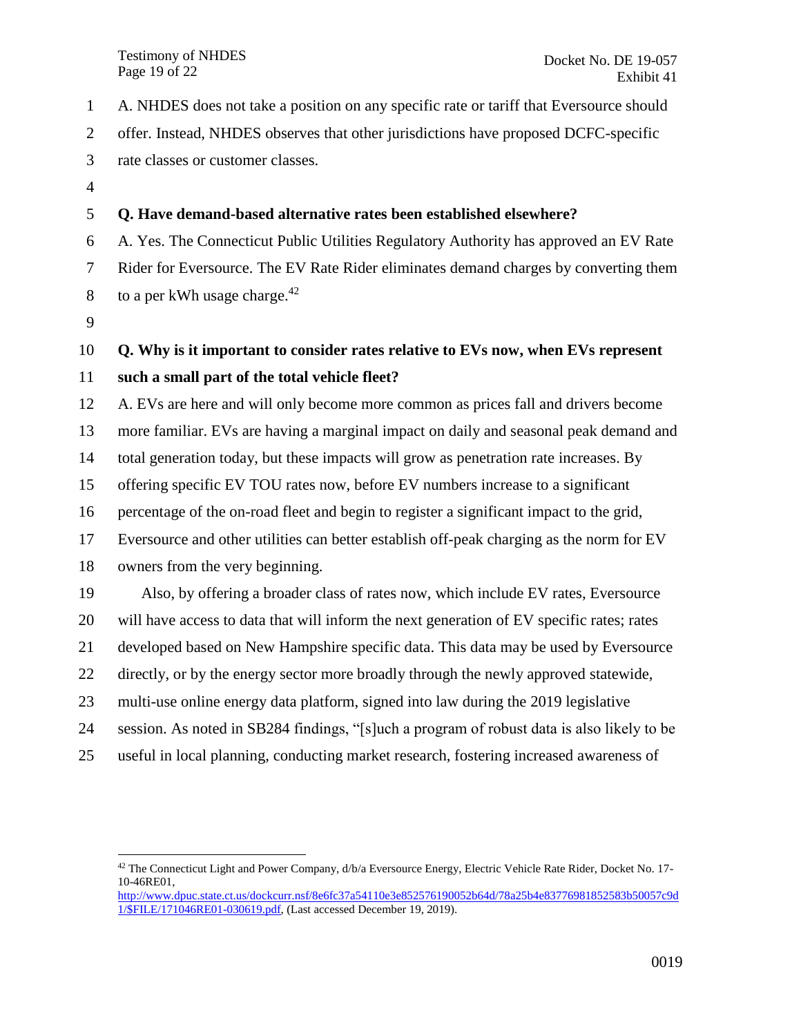- A. NHDES does not take a position on any specific rate or tariff that Eversource should
- offer. Instead, NHDES observes that other jurisdictions have proposed DCFC-specific
- rate classes or customer classes.
- 

## **Q. Have demand-based alternative rates been established elsewhere?**

 A. Yes. The Connecticut Public Utilities Regulatory Authority has approved an EV Rate Rider for Eversource. The EV Rate Rider eliminates demand charges by converting them 8 to a per kWh usage charge.

## **Q. Why is it important to consider rates relative to EVs now, when EVs represent**

### **such a small part of the total vehicle fleet?**

A. EVs are here and will only become more common as prices fall and drivers become

more familiar. EVs are having a marginal impact on daily and seasonal peak demand and

total generation today, but these impacts will grow as penetration rate increases. By

offering specific EV TOU rates now, before EV numbers increase to a significant

percentage of the on-road fleet and begin to register a significant impact to the grid,

Eversource and other utilities can better establish off-peak charging as the norm for EV

owners from the very beginning.

 Also, by offering a broader class of rates now, which include EV rates, Eversource will have access to data that will inform the next generation of EV specific rates; rates developed based on New Hampshire specific data. This data may be used by Eversource directly, or by the energy sector more broadly through the newly approved statewide, multi-use online energy data platform, signed into law during the 2019 legislative session. As noted in SB284 findings, "[s]uch a program of robust data is also likely to be

useful in local planning, conducting market research, fostering increased awareness of

 $\overline{a}$  The Connecticut Light and Power Company,  $d/b/a$  Eversource Energy, Electric Vehicle Rate Rider, Docket No. 17-10-46RE01,

[http://www.dpuc.state.ct.us/dockcurr.nsf/8e6fc37a54110e3e852576190052b64d/78a25b4e83776981852583b50057c9d](http://www.dpuc.state.ct.us/dockcurr.nsf/8e6fc37a54110e3e852576190052b64d/78a25b4e83776981852583b50057c9d1/$FILE/171046RE01-030619.pdf) [1/\\$FILE/171046RE01-030619.pdf,](http://www.dpuc.state.ct.us/dockcurr.nsf/8e6fc37a54110e3e852576190052b64d/78a25b4e83776981852583b50057c9d1/$FILE/171046RE01-030619.pdf) (Last accessed December 19, 2019).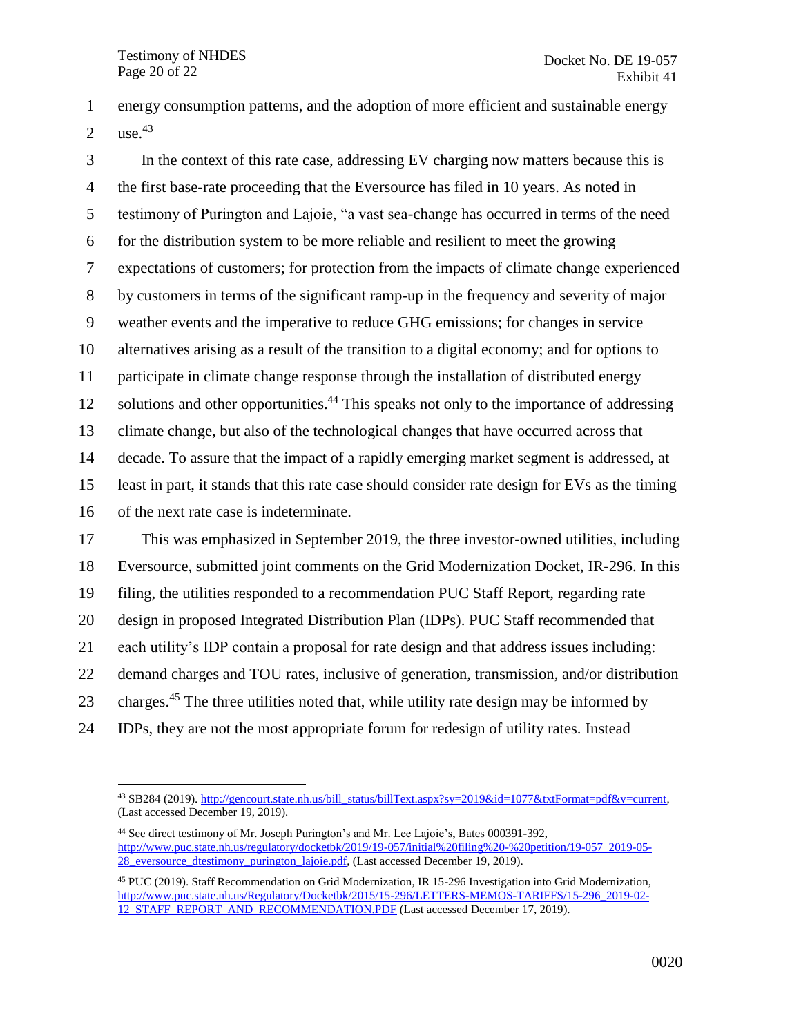energy consumption patterns, and the adoption of more efficient and sustainable energy 2 use.

 In the context of this rate case, addressing EV charging now matters because this is the first base-rate proceeding that the Eversource has filed in 10 years. As noted in testimony of Purington and Lajoie, "a vast sea-change has occurred in terms of the need for the distribution system to be more reliable and resilient to meet the growing expectations of customers; for protection from the impacts of climate change experienced by customers in terms of the significant ramp-up in the frequency and severity of major weather events and the imperative to reduce GHG emissions; for changes in service alternatives arising as a result of the transition to a digital economy; and for options to participate in climate change response through the installation of distributed energy 12 solutions and other opportunities.<sup>44</sup> This speaks not only to the importance of addressing climate change, but also of the technological changes that have occurred across that decade. To assure that the impact of a rapidly emerging market segment is addressed, at least in part, it stands that this rate case should consider rate design for EVs as the timing of the next rate case is indeterminate. This was emphasized in September 2019, the three investor-owned utilities, including Eversource, submitted joint comments on the Grid Modernization Docket, IR-296. In this filing, the utilities responded to a recommendation PUC Staff Report, regarding rate design in proposed Integrated Distribution Plan (IDPs). PUC Staff recommended that each utility's IDP contain a proposal for rate design and that address issues including: demand charges and TOU rates, inclusive of generation, transmission, and/or distribution

23 charges.<sup>45</sup> The three utilities noted that, while utility rate design may be informed by

IDPs, they are not the most appropriate forum for redesign of utility rates. Instead

 $\overline{a}$ <sup>43</sup> SB284 (2019)[. http://gencourt.state.nh.us/bill\\_status/billText.aspx?sy=2019&id=1077&txtFormat=pdf&v=current,](http://gencourt.state.nh.us/bill_status/billText.aspx?sy=2019&id=1077&txtFormat=pdf&v=current) (Last accessed December 19, 2019).

 See direct testimony of Mr. Joseph Purington's and Mr. Lee Lajoie's, Bates 000391-392, [http://www.puc.state.nh.us/regulatory/docketbk/2019/19-057/initial%20filing%20-%20petition/19-057\\_2019-05-](http://www.puc.state.nh.us/Regulatory/Docketbk/2019/19-057/INITIAL%20FILING%20-%20PETITION/19-057_2019-05-28_EVERSOURCE_DTESTIMONY_PURINGTON_LAJOIE.PDF) 28 eversource dtestimony purington lajoie.pdf, (Last accessed December 19, 2019).

 PUC (2019). Staff Recommendation on Grid Modernization, IR 15-296 Investigation into Grid Modernization, [http://www.puc.state.nh.us/Regulatory/Docketbk/2015/15-296/LETTERS-MEMOS-TARIFFS/15-296\\_2019-02-](http://www.puc.state.nh.us/Regulatory/Docketbk/2015/15-296/LETTERS-MEMOS-TARIFFS/15-296_2019-02-12_STAFF_REPORT_AND_RECOMMENDATION.PDF) [12\\_STAFF\\_REPORT\\_AND\\_RECOMMENDATION.PDF](http://www.puc.state.nh.us/Regulatory/Docketbk/2015/15-296/LETTERS-MEMOS-TARIFFS/15-296_2019-02-12_STAFF_REPORT_AND_RECOMMENDATION.PDF) (Last accessed December 17, 2019).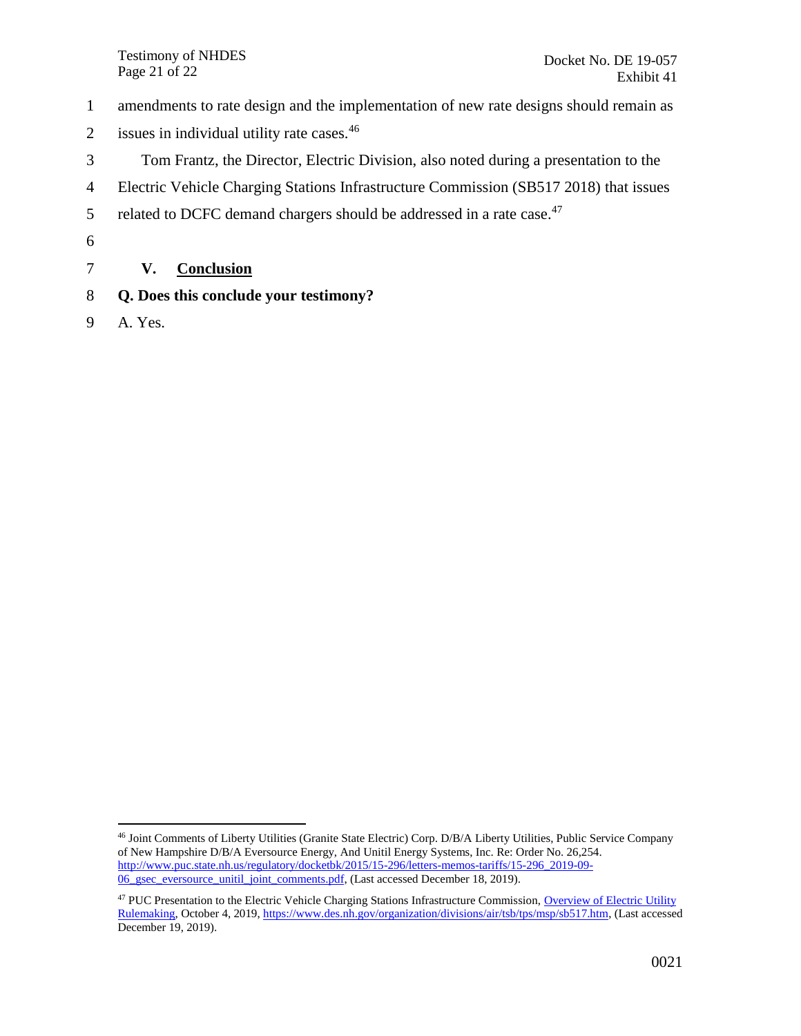Testimony of NHDES Page 21 of 22

- 1 amendments to rate design and the implementation of new rate designs should remain as
- 2 issues in individual utility rate cases. $46$
- 3 Tom Frantz, the Director, Electric Division, also noted during a presentation to the
- 4 Electric Vehicle Charging Stations Infrastructure Commission (SB517 2018) that issues
- 5 related to DCFC demand chargers should be addressed in a rate case.<sup>47</sup>
- 6

### <span id="page-20-0"></span>7 **V. Conclusion**

- 8 **Q. Does this conclude your testimony?**
- 9 A. Yes.

 $\overline{a}$ 

<sup>46</sup> Joint Comments of Liberty Utilities (Granite State Electric) Corp. D/B/A Liberty Utilities, Public Service Company of New Hampshire D/B/A Eversource Energy, And Unitil Energy Systems, Inc. Re: Order No. 26,254. [http://www.puc.state.nh.us/regulatory/docketbk/2015/15-296/letters-memos-tariffs/15-296\\_2019-09-](http://www.puc.state.nh.us/regulatory/docketbk/2015/15-296/letters-memos-tariffs/15-296_2019-09-06_gsec_eversource_unitil_joint_comments.pdf) 06 gsec\_eversource\_unitil\_joint\_comments.pdf, (Last accessed December 18, 2019).

<sup>&</sup>lt;sup>47</sup> PUC Presentation to the Electric Vehicle Charging Stations Infrastructure Commission, Overview of Electric Utility [Rulemaking,](https://www.des.nh.gov/organization/divisions/air/tsb/tps/msp/documents/20191004-puc-presentation.pdf) October 4, 2019, [https://www.des.nh.gov/organization/divisions/air/tsb/tps/msp/sb517.htm,](https://www.des.nh.gov/organization/divisions/air/tsb/tps/msp/sb517.htm) (Last accessed December 19, 2019).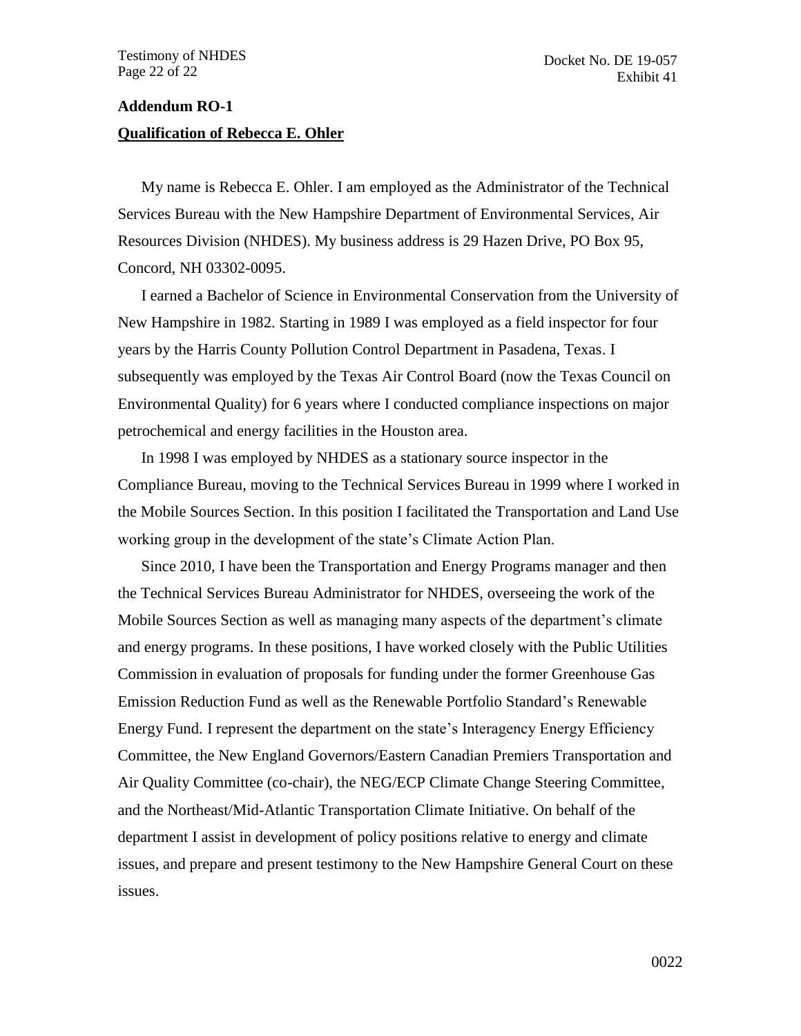#### <span id="page-21-0"></span>**Addendum RO-1**

#### **Qualification of Rebecca E. Ohler**

My name is Rebecca E. Ohler. I am employed as the Administrator of the Technical Services Bureau with the New Hampshire Department of Environmental Services, Air Resources Division (NHDES). My business address is 29 Hazen Drive, PO Box 95, Concord, NH 03302-0095.

I earned a Bachelor of Science in Environmental Conservation from the University of New Hampshire in 1982. Starting in 1989 I was employed as a field inspector for four years by the Harris County Pollution Control Department in Pasadena, Texas. I subsequently was employed by the Texas Air Control Board (now the Texas Council on Environmental Quality) for 6 years where I conducted compliance inspections on major petrochemical and energy facilities in the Houston area.

In 1998 I was employed by NHDES as a stationary source inspector in the Compliance Bureau, moving to the Technical Services Bureau in 1999 where I worked in the Mobile Sources Section. In this position I facilitated the Transportation and Land Use working group in the development of the state's Climate Action Plan.

Since 2010, I have been the Transportation and Energy Programs manager and then the Technical Services Bureau Administrator for NHDES, overseeing the work of the Mobile Sources Section as well as managing many aspects of the department's climate and energy programs. In these positions, I have worked closely with the Public Utilities Commission in evaluation of proposals for funding under the former Greenhouse Gas Emission Reduction Fund as well as the Renewable Portfolio Standard's Renewable Energy Fund. I represent the department on the state's Interagency Energy Efficiency Committee, the New England Governors/Eastern Canadian Premiers Transportation and Air Quality Committee (co-chair), the NEG/ECP Climate Change Steering Committee, and the Northeast/Mid-Atlantic Transportation Climate Initiative. On behalf of the department I assist in development of policy positions relative to energy and climate issues, and prepare and present testimony to the New Hampshire General Court on these issues.

0022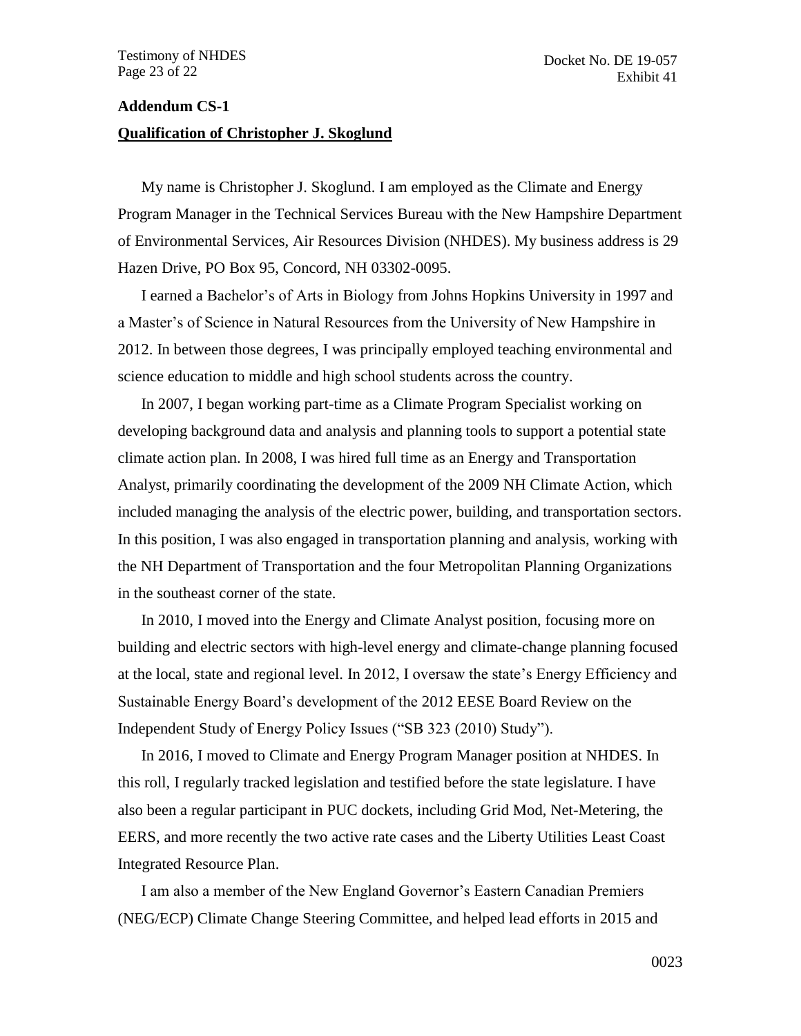#### <span id="page-22-0"></span>**Addendum CS-1**

#### **Qualification of Christopher J. Skoglund**

My name is Christopher J. Skoglund. I am employed as the Climate and Energy Program Manager in the Technical Services Bureau with the New Hampshire Department of Environmental Services, Air Resources Division (NHDES). My business address is 29 Hazen Drive, PO Box 95, Concord, NH 03302-0095.

I earned a Bachelor's of Arts in Biology from Johns Hopkins University in 1997 and a Master's of Science in Natural Resources from the University of New Hampshire in 2012. In between those degrees, I was principally employed teaching environmental and science education to middle and high school students across the country.

In 2007, I began working part-time as a Climate Program Specialist working on developing background data and analysis and planning tools to support a potential state climate action plan. In 2008, I was hired full time as an Energy and Transportation Analyst, primarily coordinating the development of the 2009 NH Climate Action, which included managing the analysis of the electric power, building, and transportation sectors. In this position, I was also engaged in transportation planning and analysis, working with the NH Department of Transportation and the four Metropolitan Planning Organizations in the southeast corner of the state.

In 2010, I moved into the Energy and Climate Analyst position, focusing more on building and electric sectors with high-level energy and climate-change planning focused at the local, state and regional level. In 2012, I oversaw the state's Energy Efficiency and Sustainable Energy Board's development of the 2012 EESE Board Review on the Independent Study of Energy Policy Issues ("SB 323 (2010) Study").

In 2016, I moved to Climate and Energy Program Manager position at NHDES. In this roll, I regularly tracked legislation and testified before the state legislature. I have also been a regular participant in PUC dockets, including Grid Mod, Net-Metering, the EERS, and more recently the two active rate cases and the Liberty Utilities Least Coast Integrated Resource Plan.

I am also a member of the New England Governor's Eastern Canadian Premiers (NEG/ECP) Climate Change Steering Committee, and helped lead efforts in 2015 and